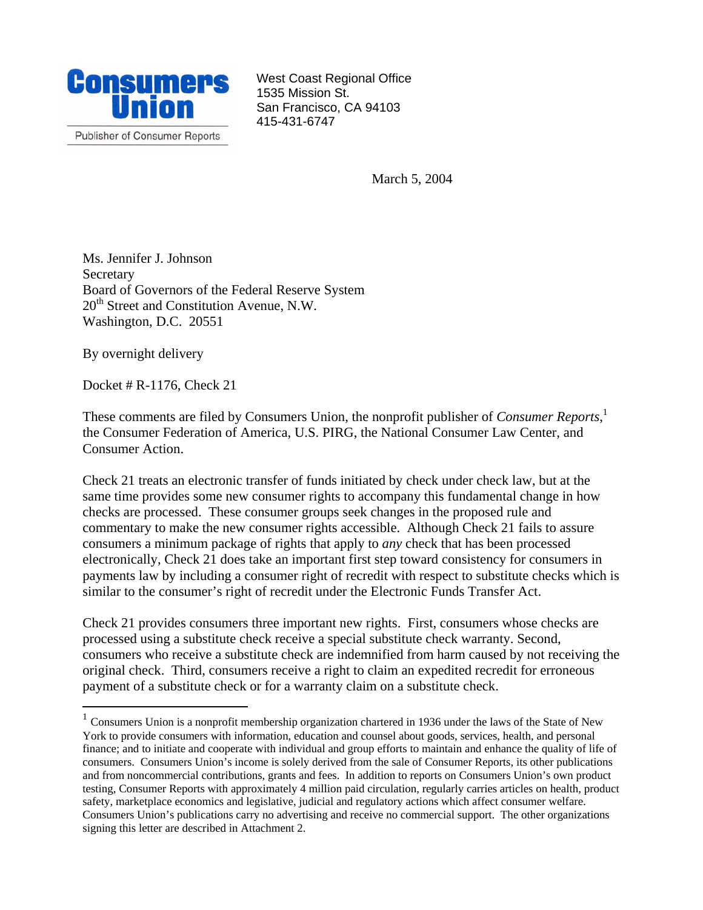

West Coast Regional Office 1535 Mission St. San Francisco, CA 94103 415-431-6747

March 5, 2004

Ms. Jennifer J. Johnson Secretary Board of Governors of the Federal Reserve System  $20<sup>th</sup>$  Street and Constitution Avenue, N.W. Washington, D.C. 20551

By overnight delivery

 $\overline{a}$ 

Docket # R-1176, Check 21

These comments are filed by Consumers Union, the nonprofit publisher of *Consumer Reports*, [1](#page-0-0) the Consumer Federation of America, U.S. PIRG, the National Consumer Law Center, and Consumer Action.

Check 21 treats an electronic transfer of funds initiated by check under check law, but at the same time provides some new consumer rights to accompany this fundamental change in how checks are processed. These consumer groups seek changes in the proposed rule and commentary to make the new consumer rights accessible. Although Check 21 fails to assure consumers a minimum package of rights that apply to *any* check that has been processed electronically, Check 21 does take an important first step toward consistency for consumers in payments law by including a consumer right of recredit with respect to substitute checks which is similar to the consumer's right of recredit under the Electronic Funds Transfer Act.

Check 21 provides consumers three important new rights. First, consumers whose checks are processed using a substitute check receive a special substitute check warranty. Second, consumers who receive a substitute check are indemnified from harm caused by not receiving the original check. Third, consumers receive a right to claim an expedited recredit for erroneous payment of a substitute check or for a warranty claim on a substitute check.

<span id="page-0-0"></span> $1$  Consumers Union is a nonprofit membership organization chartered in 1936 under the laws of the State of New York to provide consumers with information, education and counsel about goods, services, health, and personal finance; and to initiate and cooperate with individual and group efforts to maintain and enhance the quality of life of consumers. Consumers Union's income is solely derived from the sale of Consumer Reports, its other publications and from noncommercial contributions, grants and fees. In addition to reports on Consumers Union's own product testing, Consumer Reports with approximately 4 million paid circulation, regularly carries articles on health, product safety, marketplace economics and legislative, judicial and regulatory actions which affect consumer welfare. Consumers Union's publications carry no advertising and receive no commercial support. The other organizations signing this letter are described in Attachment 2.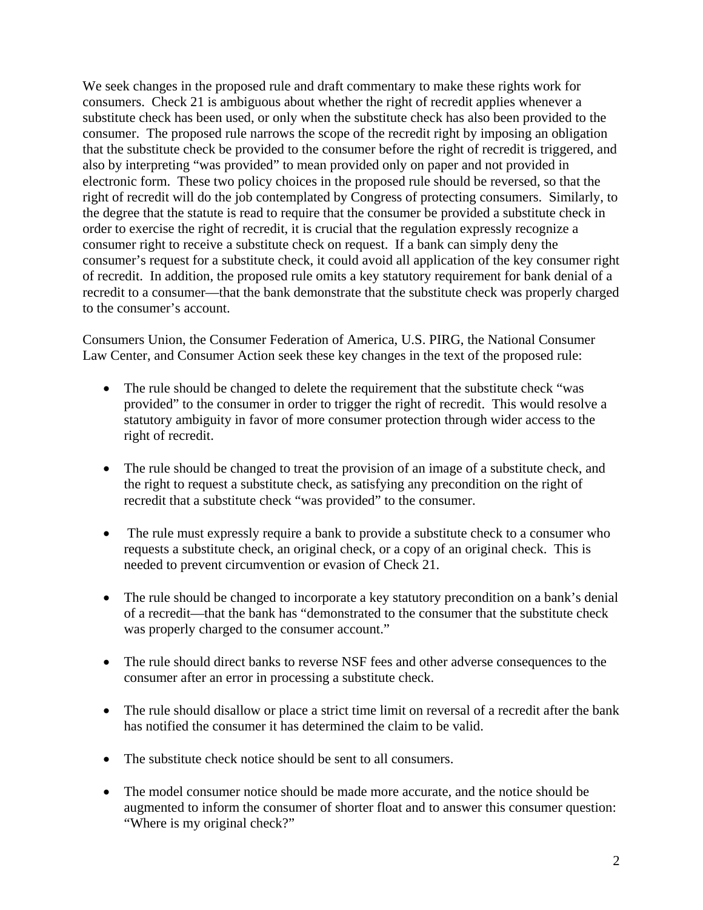We seek changes in the proposed rule and draft commentary to make these rights work for consumers. Check 21 is ambiguous about whether the right of recredit applies whenever a substitute check has been used, or only when the substitute check has also been provided to the consumer. The proposed rule narrows the scope of the recredit right by imposing an obligation that the substitute check be provided to the consumer before the right of recredit is triggered, and also by interpreting "was provided" to mean provided only on paper and not provided in electronic form. These two policy choices in the proposed rule should be reversed, so that the right of recredit will do the job contemplated by Congress of protecting consumers. Similarly, to the degree that the statute is read to require that the consumer be provided a substitute check in order to exercise the right of recredit, it is crucial that the regulation expressly recognize a consumer right to receive a substitute check on request. If a bank can simply deny the consumer's request for a substitute check, it could avoid all application of the key consumer right of recredit. In addition, the proposed rule omits a key statutory requirement for bank denial of a recredit to a consumer—that the bank demonstrate that the substitute check was properly charged to the consumer's account.

Consumers Union, the Consumer Federation of America, U.S. PIRG, the National Consumer Law Center, and Consumer Action seek these key changes in the text of the proposed rule:

- The rule should be changed to delete the requirement that the substitute check "was provided" to the consumer in order to trigger the right of recredit. This would resolve a statutory ambiguity in favor of more consumer protection through wider access to the right of recredit.
- The rule should be changed to treat the provision of an image of a substitute check, and the right to request a substitute check, as satisfying any precondition on the right of recredit that a substitute check "was provided" to the consumer.
- The rule must expressly require a bank to provide a substitute check to a consumer who requests a substitute check, an original check, or a copy of an original check. This is needed to prevent circumvention or evasion of Check 21.
- The rule should be changed to incorporate a key statutory precondition on a bank's denial of a recredit—that the bank has "demonstrated to the consumer that the substitute check was properly charged to the consumer account."
- The rule should direct banks to reverse NSF fees and other adverse consequences to the consumer after an error in processing a substitute check.
- The rule should disallow or place a strict time limit on reversal of a recredit after the bank has notified the consumer it has determined the claim to be valid.
- The substitute check notice should be sent to all consumers.
- The model consumer notice should be made more accurate, and the notice should be augmented to inform the consumer of shorter float and to answer this consumer question: "Where is my original check?"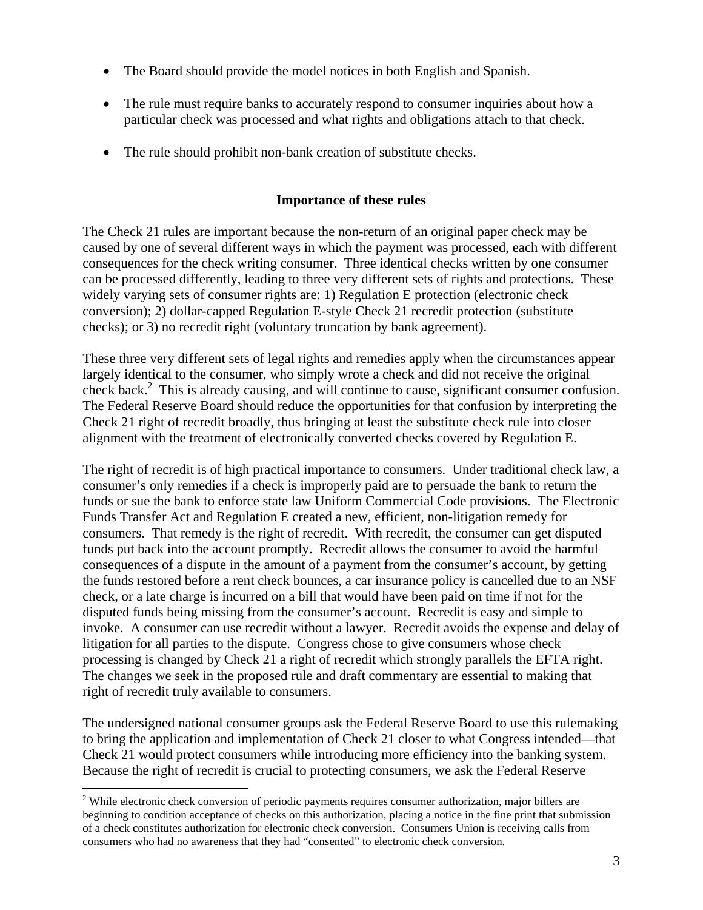- The Board should provide the model notices in both English and Spanish.
- The rule must require banks to accurately respond to consumer inquiries about how a particular check was processed and what rights and obligations attach to that check.
- The rule should prohibit non-bank creation of substitute checks.

# **Importance of these rules**

The Check 21 rules are important because the non-return of an original paper check may be caused by one of several different ways in which the payment was processed, each with different consequences for the check writing consumer. Three identical checks written by one consumer can be processed differently, leading to three very different sets of rights and protections. These widely varying sets of consumer rights are: 1) Regulation E protection (electronic check conversion); 2) dollar-capped Regulation E-style Check 21 recredit protection (substitute checks); or 3) no recredit right (voluntary truncation by bank agreement).

These three very different sets of legal rights and remedies apply when the circumstances appear largely identical to the consumer, who simply wrote a check and did not receive the original check back.<sup>[2](#page-2-0)</sup> This is already causing, and will continue to cause, significant consumer confusion. The Federal Reserve Board should reduce the opportunities for that confusion by interpreting the Check 21 right of recredit broadly, thus bringing at least the substitute check rule into closer alignment with the treatment of electronically converted checks covered by Regulation E.

The right of recredit is of high practical importance to consumers. Under traditional check law, a consumer's only remedies if a check is improperly paid are to persuade the bank to return the funds or sue the bank to enforce state law Uniform Commercial Code provisions. The Electronic Funds Transfer Act and Regulation E created a new, efficient, non-litigation remedy for consumers. That remedy is the right of recredit. With recredit, the consumer can get disputed funds put back into the account promptly. Recredit allows the consumer to avoid the harmful consequences of a dispute in the amount of a payment from the consumer's account, by getting the funds restored before a rent check bounces, a car insurance policy is cancelled due to an NSF check, or a late charge is incurred on a bill that would have been paid on time if not for the disputed funds being missing from the consumer's account. Recredit is easy and simple to invoke. A consumer can use recredit without a lawyer. Recredit avoids the expense and delay of litigation for all parties to the dispute. Congress chose to give consumers whose check processing is changed by Check 21 a right of recredit which strongly parallels the EFTA right. The changes we seek in the proposed rule and draft commentary are essential to making that right of recredit truly available to consumers.

The undersigned national consumer groups ask the Federal Reserve Board to use this rulemaking to bring the application and implementation of Check 21 closer to what Congress intended—that Check 21 would protect consumers while introducing more efficiency into the banking system. Because the right of recredit is crucial to protecting consumers, we ask the Federal Reserve

 $\overline{a}$ 

<span id="page-2-0"></span><sup>&</sup>lt;sup>2</sup> While electronic check conversion of periodic payments requires consumer authorization, major billers are beginning to condition acceptance of checks on this authorization, placing a notice in the fine print that submission of a check constitutes authorization for electronic check conversion. Consumers Union is receiving calls from consumers who had no awareness that they had "consented" to electronic check conversion.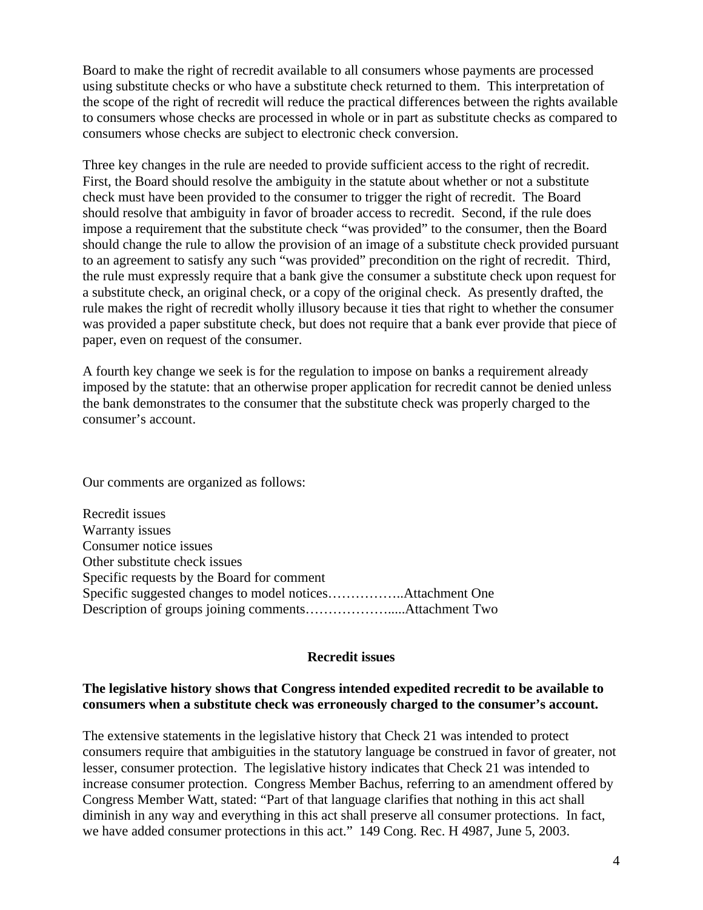Board to make the right of recredit available to all consumers whose payments are processed using substitute checks or who have a substitute check returned to them. This interpretation of the scope of the right of recredit will reduce the practical differences between the rights available to consumers whose checks are processed in whole or in part as substitute checks as compared to consumers whose checks are subject to electronic check conversion.

Three key changes in the rule are needed to provide sufficient access to the right of recredit. First, the Board should resolve the ambiguity in the statute about whether or not a substitute check must have been provided to the consumer to trigger the right of recredit. The Board should resolve that ambiguity in favor of broader access to recredit. Second, if the rule does impose a requirement that the substitute check "was provided" to the consumer, then the Board should change the rule to allow the provision of an image of a substitute check provided pursuant to an agreement to satisfy any such "was provided" precondition on the right of recredit. Third, the rule must expressly require that a bank give the consumer a substitute check upon request for a substitute check, an original check, or a copy of the original check. As presently drafted, the rule makes the right of recredit wholly illusory because it ties that right to whether the consumer was provided a paper substitute check, but does not require that a bank ever provide that piece of paper, even on request of the consumer.

A fourth key change we seek is for the regulation to impose on banks a requirement already imposed by the statute: that an otherwise proper application for recredit cannot be denied unless the bank demonstrates to the consumer that the substitute check was properly charged to the consumer's account.

Our comments are organized as follows:

Recredit issues Warranty issues Consumer notice issues Other substitute check issues Specific requests by the Board for comment Specific suggested changes to model notices……………..Attachment One Description of groups joining comments……………….....Attachment Two

#### **Recredit issues**

# **The legislative history shows that Congress intended expedited recredit to be available to consumers when a substitute check was erroneously charged to the consumer's account.**

The extensive statements in the legislative history that Check 21 was intended to protect consumers require that ambiguities in the statutory language be construed in favor of greater, not lesser, consumer protection. The legislative history indicates that Check 21 was intended to increase consumer protection. Congress Member Bachus, referring to an amendment offered by Congress Member Watt, stated: "Part of that language clarifies that nothing in this act shall diminish in any way and everything in this act shall preserve all consumer protections. In fact, we have added consumer protections in this act." 149 Cong. Rec. H 4987, June 5, 2003.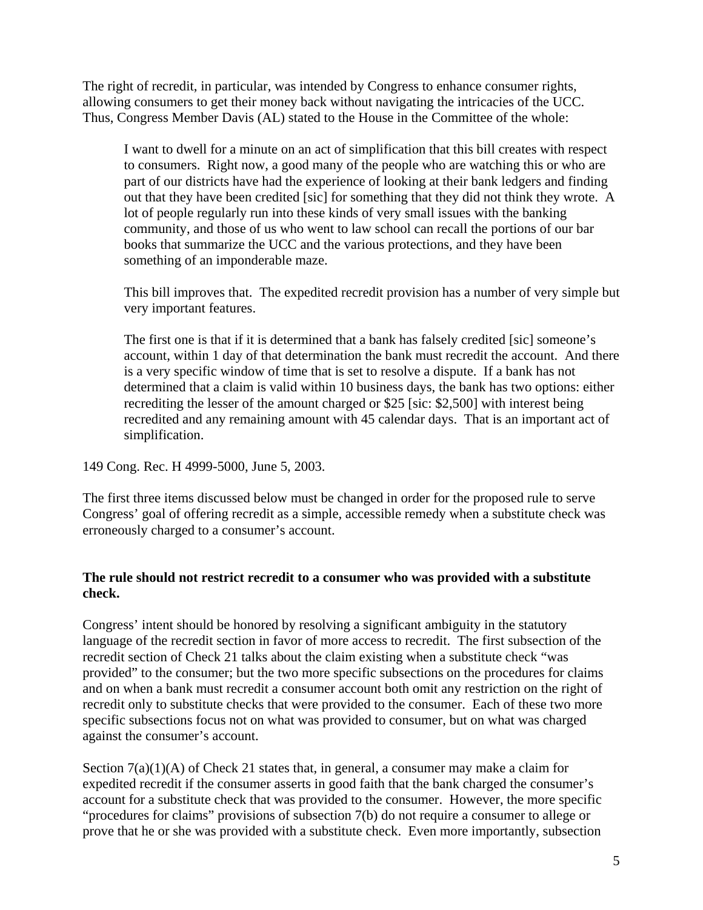The right of recredit, in particular, was intended by Congress to enhance consumer rights, allowing consumers to get their money back without navigating the intricacies of the UCC. Thus, Congress Member Davis (AL) stated to the House in the Committee of the whole:

I want to dwell for a minute on an act of simplification that this bill creates with respect to consumers. Right now, a good many of the people who are watching this or who are part of our districts have had the experience of looking at their bank ledgers and finding out that they have been credited [sic] for something that they did not think they wrote. A lot of people regularly run into these kinds of very small issues with the banking community, and those of us who went to law school can recall the portions of our bar books that summarize the UCC and the various protections, and they have been something of an imponderable maze.

This bill improves that. The expedited recredit provision has a number of very simple but very important features.

The first one is that if it is determined that a bank has falsely credited [sic] someone's account, within 1 day of that determination the bank must recredit the account. And there is a very specific window of time that is set to resolve a dispute. If a bank has not determined that a claim is valid within 10 business days, the bank has two options: either recrediting the lesser of the amount charged or \$25 [sic: \$2,500] with interest being recredited and any remaining amount with 45 calendar days. That is an important act of simplification.

149 Cong. Rec. H 4999-5000, June 5, 2003.

The first three items discussed below must be changed in order for the proposed rule to serve Congress' goal of offering recredit as a simple, accessible remedy when a substitute check was erroneously charged to a consumer's account.

# **The rule should not restrict recredit to a consumer who was provided with a substitute check.**

Congress' intent should be honored by resolving a significant ambiguity in the statutory language of the recredit section in favor of more access to recredit. The first subsection of the recredit section of Check 21 talks about the claim existing when a substitute check "was provided" to the consumer; but the two more specific subsections on the procedures for claims and on when a bank must recredit a consumer account both omit any restriction on the right of recredit only to substitute checks that were provided to the consumer. Each of these two more specific subsections focus not on what was provided to consumer, but on what was charged against the consumer's account.

Section  $7(a)(1)(A)$  of Check 21 states that, in general, a consumer may make a claim for expedited recredit if the consumer asserts in good faith that the bank charged the consumer's account for a substitute check that was provided to the consumer. However, the more specific "procedures for claims" provisions of subsection 7(b) do not require a consumer to allege or prove that he or she was provided with a substitute check. Even more importantly, subsection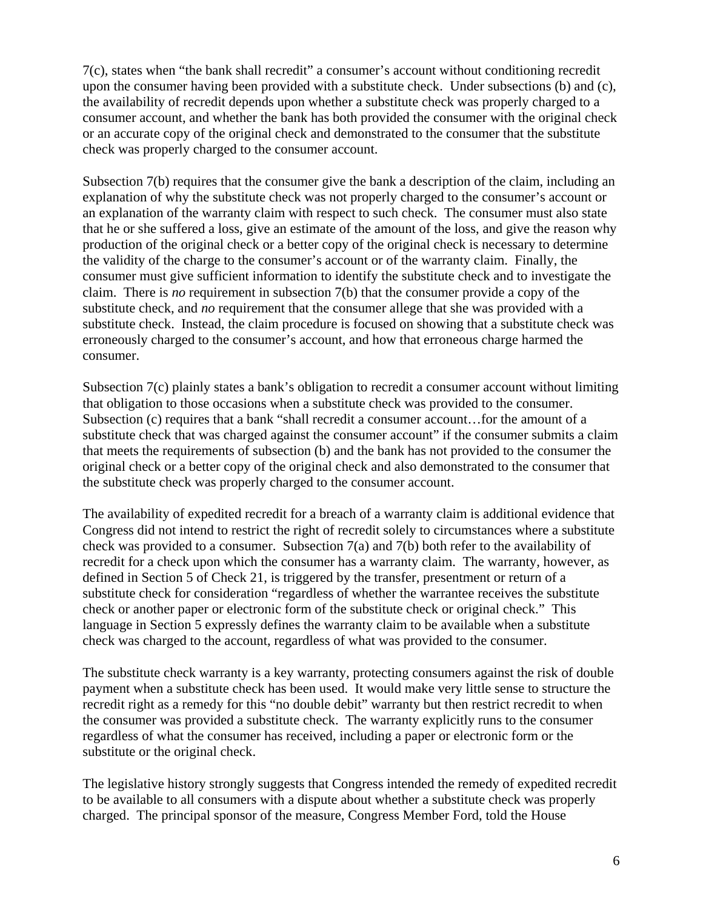7(c), states when "the bank shall recredit" a consumer's account without conditioning recredit upon the consumer having been provided with a substitute check. Under subsections (b) and (c), the availability of recredit depends upon whether a substitute check was properly charged to a consumer account, and whether the bank has both provided the consumer with the original check or an accurate copy of the original check and demonstrated to the consumer that the substitute check was properly charged to the consumer account.

Subsection 7(b) requires that the consumer give the bank a description of the claim, including an explanation of why the substitute check was not properly charged to the consumer's account or an explanation of the warranty claim with respect to such check. The consumer must also state that he or she suffered a loss, give an estimate of the amount of the loss, and give the reason why production of the original check or a better copy of the original check is necessary to determine the validity of the charge to the consumer's account or of the warranty claim. Finally, the consumer must give sufficient information to identify the substitute check and to investigate the claim. There is *no* requirement in subsection 7(b) that the consumer provide a copy of the substitute check, and *no* requirement that the consumer allege that she was provided with a substitute check. Instead, the claim procedure is focused on showing that a substitute check was erroneously charged to the consumer's account, and how that erroneous charge harmed the consumer.

Subsection 7(c) plainly states a bank's obligation to recredit a consumer account without limiting that obligation to those occasions when a substitute check was provided to the consumer. Subsection (c) requires that a bank "shall recredit a consumer account…for the amount of a substitute check that was charged against the consumer account" if the consumer submits a claim that meets the requirements of subsection (b) and the bank has not provided to the consumer the original check or a better copy of the original check and also demonstrated to the consumer that the substitute check was properly charged to the consumer account.

The availability of expedited recredit for a breach of a warranty claim is additional evidence that Congress did not intend to restrict the right of recredit solely to circumstances where a substitute check was provided to a consumer. Subsection 7(a) and 7(b) both refer to the availability of recredit for a check upon which the consumer has a warranty claim. The warranty, however, as defined in Section 5 of Check 21, is triggered by the transfer, presentment or return of a substitute check for consideration "regardless of whether the warrantee receives the substitute check or another paper or electronic form of the substitute check or original check." This language in Section 5 expressly defines the warranty claim to be available when a substitute check was charged to the account, regardless of what was provided to the consumer.

The substitute check warranty is a key warranty, protecting consumers against the risk of double payment when a substitute check has been used. It would make very little sense to structure the recredit right as a remedy for this "no double debit" warranty but then restrict recredit to when the consumer was provided a substitute check. The warranty explicitly runs to the consumer regardless of what the consumer has received, including a paper or electronic form or the substitute or the original check.

The legislative history strongly suggests that Congress intended the remedy of expedited recredit to be available to all consumers with a dispute about whether a substitute check was properly charged. The principal sponsor of the measure, Congress Member Ford, told the House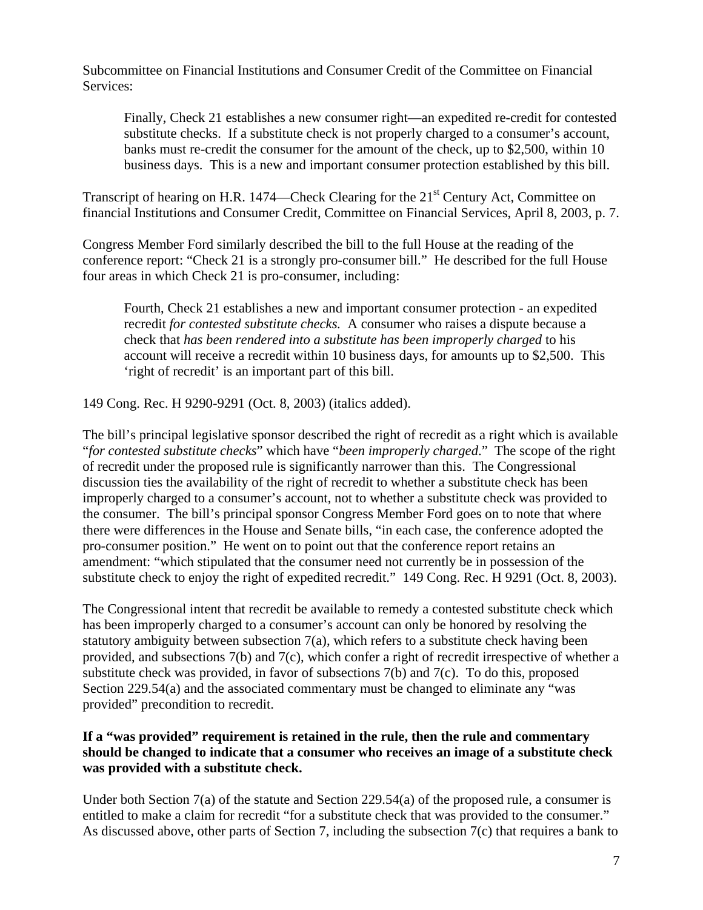Subcommittee on Financial Institutions and Consumer Credit of the Committee on Financial Services:

Finally, Check 21 establishes a new consumer right—an expedited re-credit for contested substitute checks. If a substitute check is not properly charged to a consumer's account, banks must re-credit the consumer for the amount of the check, up to \$2,500, within 10 business days. This is a new and important consumer protection established by this bill.

Transcript of hearing on H.R. 1474—Check Clearing for the 21<sup>st</sup> Century Act, Committee on financial Institutions and Consumer Credit, Committee on Financial Services, April 8, 2003, p. 7.

Congress Member Ford similarly described the bill to the full House at the reading of the conference report: "Check 21 is a strongly pro-consumer bill." He described for the full House four areas in which Check 21 is pro-consumer, including:

Fourth, Check 21 establishes a new and important consumer protection - an expedited recredit *for contested substitute checks.* A consumer who raises a dispute because a check that *has been rendered into a substitute has been improperly charged* to his account will receive a recredit within 10 business days, for amounts up to \$2,500. This 'right of recredit' is an important part of this bill.

149 Cong. Rec. H 9290-9291 (Oct. 8, 2003) (italics added).

The bill's principal legislative sponsor described the right of recredit as a right which is available "*for contested substitute checks*" which have "*been improperly charged*." The scope of the right of recredit under the proposed rule is significantly narrower than this. The Congressional discussion ties the availability of the right of recredit to whether a substitute check has been improperly charged to a consumer's account, not to whether a substitute check was provided to the consumer. The bill's principal sponsor Congress Member Ford goes on to note that where there were differences in the House and Senate bills, "in each case, the conference adopted the pro-consumer position." He went on to point out that the conference report retains an amendment: "which stipulated that the consumer need not currently be in possession of the substitute check to enjoy the right of expedited recredit." 149 Cong. Rec. H 9291 (Oct. 8, 2003).

The Congressional intent that recredit be available to remedy a contested substitute check which has been improperly charged to a consumer's account can only be honored by resolving the statutory ambiguity between subsection 7(a), which refers to a substitute check having been provided, and subsections 7(b) and 7(c), which confer a right of recredit irrespective of whether a substitute check was provided, in favor of subsections 7(b) and 7(c). To do this, proposed Section 229.54(a) and the associated commentary must be changed to eliminate any "was provided" precondition to recredit.

# **If a "was provided" requirement is retained in the rule, then the rule and commentary should be changed to indicate that a consumer who receives an image of a substitute check was provided with a substitute check.**

Under both Section 7(a) of the statute and Section 229.54(a) of the proposed rule, a consumer is entitled to make a claim for recredit "for a substitute check that was provided to the consumer." As discussed above, other parts of Section 7, including the subsection 7(c) that requires a bank to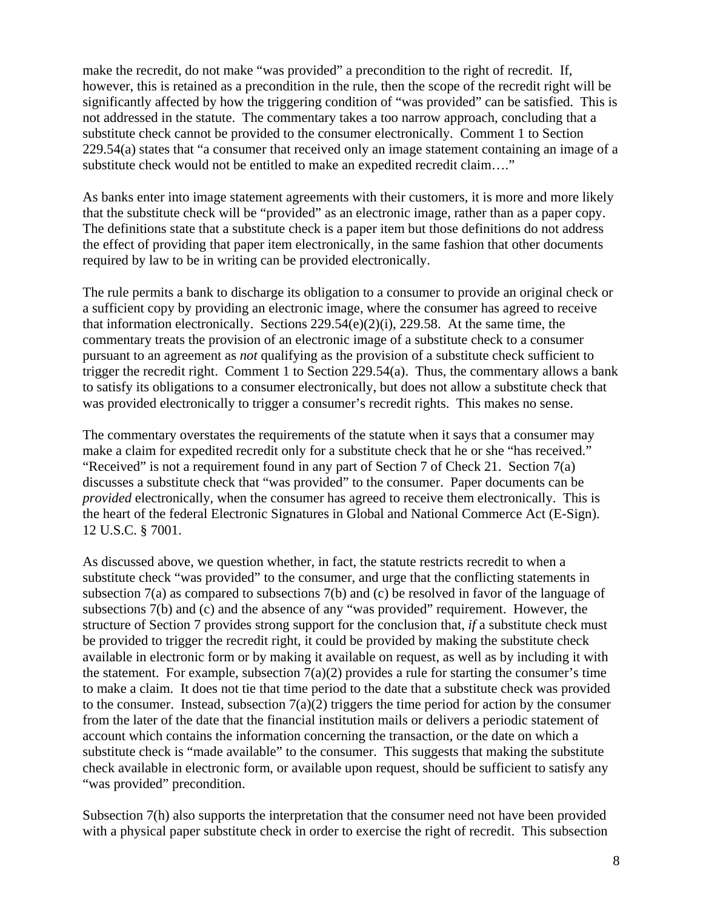make the recredit, do not make "was provided" a precondition to the right of recredit. If, however, this is retained as a precondition in the rule, then the scope of the recredit right will be significantly affected by how the triggering condition of "was provided" can be satisfied. This is not addressed in the statute. The commentary takes a too narrow approach, concluding that a substitute check cannot be provided to the consumer electronically. Comment 1 to Section 229.54(a) states that "a consumer that received only an image statement containing an image of a substitute check would not be entitled to make an expedited recredit claim…."

As banks enter into image statement agreements with their customers, it is more and more likely that the substitute check will be "provided" as an electronic image, rather than as a paper copy. The definitions state that a substitute check is a paper item but those definitions do not address the effect of providing that paper item electronically, in the same fashion that other documents required by law to be in writing can be provided electronically.

The rule permits a bank to discharge its obligation to a consumer to provide an original check or a sufficient copy by providing an electronic image, where the consumer has agreed to receive that information electronically. Sections 229.54(e)(2)(i), 229.58. At the same time, the commentary treats the provision of an electronic image of a substitute check to a consumer pursuant to an agreement as *not* qualifying as the provision of a substitute check sufficient to trigger the recredit right. Comment 1 to Section 229.54(a). Thus, the commentary allows a bank to satisfy its obligations to a consumer electronically, but does not allow a substitute check that was provided electronically to trigger a consumer's recredit rights. This makes no sense.

The commentary overstates the requirements of the statute when it says that a consumer may make a claim for expedited recredit only for a substitute check that he or she "has received." "Received" is not a requirement found in any part of Section 7 of Check 21. Section 7(a) discusses a substitute check that "was provided" to the consumer. Paper documents can be *provided* electronically, when the consumer has agreed to receive them electronically. This is the heart of the federal Electronic Signatures in Global and National Commerce Act (E-Sign). 12 U.S.C. § 7001.

As discussed above, we question whether, in fact, the statute restricts recredit to when a substitute check "was provided" to the consumer, and urge that the conflicting statements in subsection 7(a) as compared to subsections 7(b) and (c) be resolved in favor of the language of subsections 7(b) and (c) and the absence of any "was provided" requirement. However, the structure of Section 7 provides strong support for the conclusion that, *if* a substitute check must be provided to trigger the recredit right, it could be provided by making the substitute check available in electronic form or by making it available on request, as well as by including it with the statement. For example, subsection  $7(a)(2)$  provides a rule for starting the consumer's time to make a claim. It does not tie that time period to the date that a substitute check was provided to the consumer. Instead, subsection  $7(a)(2)$  triggers the time period for action by the consumer from the later of the date that the financial institution mails or delivers a periodic statement of account which contains the information concerning the transaction, or the date on which a substitute check is "made available" to the consumer. This suggests that making the substitute check available in electronic form, or available upon request, should be sufficient to satisfy any "was provided" precondition.

Subsection 7(h) also supports the interpretation that the consumer need not have been provided with a physical paper substitute check in order to exercise the right of recredit. This subsection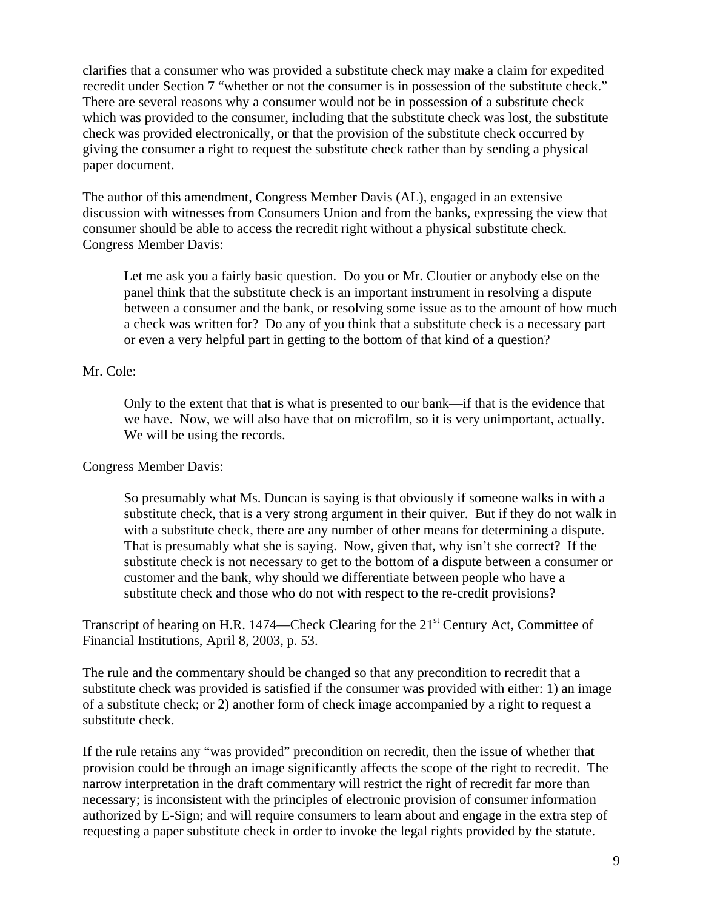clarifies that a consumer who was provided a substitute check may make a claim for expedited recredit under Section 7 "whether or not the consumer is in possession of the substitute check." There are several reasons why a consumer would not be in possession of a substitute check which was provided to the consumer, including that the substitute check was lost, the substitute check was provided electronically, or that the provision of the substitute check occurred by giving the consumer a right to request the substitute check rather than by sending a physical paper document.

The author of this amendment, Congress Member Davis (AL), engaged in an extensive discussion with witnesses from Consumers Union and from the banks, expressing the view that consumer should be able to access the recredit right without a physical substitute check. Congress Member Davis:

Let me ask you a fairly basic question. Do you or Mr. Cloutier or anybody else on the panel think that the substitute check is an important instrument in resolving a dispute between a consumer and the bank, or resolving some issue as to the amount of how much a check was written for? Do any of you think that a substitute check is a necessary part or even a very helpful part in getting to the bottom of that kind of a question?

### Mr. Cole:

Only to the extent that that is what is presented to our bank—if that is the evidence that we have. Now, we will also have that on microfilm, so it is very unimportant, actually. We will be using the records.

### Congress Member Davis:

So presumably what Ms. Duncan is saying is that obviously if someone walks in with a substitute check, that is a very strong argument in their quiver. But if they do not walk in with a substitute check, there are any number of other means for determining a dispute. That is presumably what she is saying. Now, given that, why isn't she correct? If the substitute check is not necessary to get to the bottom of a dispute between a consumer or customer and the bank, why should we differentiate between people who have a substitute check and those who do not with respect to the re-credit provisions?

Transcript of hearing on H.R. 1474—Check Clearing for the 21<sup>st</sup> Century Act, Committee of Financial Institutions, April 8, 2003, p. 53.

The rule and the commentary should be changed so that any precondition to recredit that a substitute check was provided is satisfied if the consumer was provided with either: 1) an image of a substitute check; or 2) another form of check image accompanied by a right to request a substitute check.

If the rule retains any "was provided" precondition on recredit, then the issue of whether that provision could be through an image significantly affects the scope of the right to recredit. The narrow interpretation in the draft commentary will restrict the right of recredit far more than necessary; is inconsistent with the principles of electronic provision of consumer information authorized by E-Sign; and will require consumers to learn about and engage in the extra step of requesting a paper substitute check in order to invoke the legal rights provided by the statute.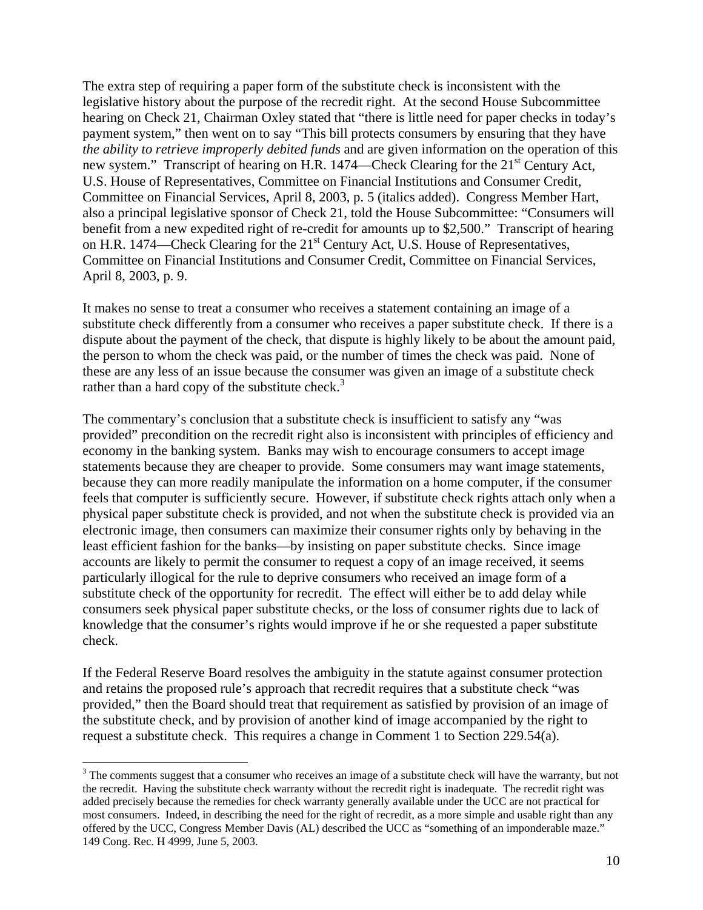The extra step of requiring a paper form of the substitute check is inconsistent with the legislative history about the purpose of the recredit right. At the second House Subcommittee hearing on Check 21, Chairman Oxley stated that "there is little need for paper checks in today's payment system," then went on to say "This bill protects consumers by ensuring that they have *the ability to retrieve improperly debited funds* and are given information on the operation of this new system." Transcript of hearing on H.R. 1474—Check Clearing for the 21<sup>st</sup> Century Act, U.S. House of Representatives, Committee on Financial Institutions and Consumer Credit, Committee on Financial Services, April 8, 2003, p. 5 (italics added). Congress Member Hart, also a principal legislative sponsor of Check 21, told the House Subcommittee: "Consumers will benefit from a new expedited right of re-credit for amounts up to \$2,500." Transcript of hearing on H.R. 1474—Check Clearing for the 21<sup>st</sup> Century Act, U.S. House of Representatives, Committee on Financial Institutions and Consumer Credit, Committee on Financial Services, April 8, 2003, p. 9.

It makes no sense to treat a consumer who receives a statement containing an image of a substitute check differently from a consumer who receives a paper substitute check. If there is a dispute about the payment of the check, that dispute is highly likely to be about the amount paid, the person to whom the check was paid, or the number of times the check was paid. None of these are any less of an issue because the consumer was given an image of a substitute check rather than a hard copy of the substitute check.<sup>[3](#page-9-0)</sup>

The commentary's conclusion that a substitute check is insufficient to satisfy any "was provided" precondition on the recredit right also is inconsistent with principles of efficiency and economy in the banking system. Banks may wish to encourage consumers to accept image statements because they are cheaper to provide. Some consumers may want image statements, because they can more readily manipulate the information on a home computer, if the consumer feels that computer is sufficiently secure. However, if substitute check rights attach only when a physical paper substitute check is provided, and not when the substitute check is provided via an electronic image, then consumers can maximize their consumer rights only by behaving in the least efficient fashion for the banks—by insisting on paper substitute checks. Since image accounts are likely to permit the consumer to request a copy of an image received, it seems particularly illogical for the rule to deprive consumers who received an image form of a substitute check of the opportunity for recredit. The effect will either be to add delay while consumers seek physical paper substitute checks, or the loss of consumer rights due to lack of knowledge that the consumer's rights would improve if he or she requested a paper substitute check.

If the Federal Reserve Board resolves the ambiguity in the statute against consumer protection and retains the proposed rule's approach that recredit requires that a substitute check "was provided," then the Board should treat that requirement as satisfied by provision of an image of the substitute check, and by provision of another kind of image accompanied by the right to request a substitute check. This requires a change in Comment 1 to Section 229.54(a).

1

<span id="page-9-0"></span> $3$  The comments suggest that a consumer who receives an image of a substitute check will have the warranty, but not the recredit. Having the substitute check warranty without the recredit right is inadequate. The recredit right was added precisely because the remedies for check warranty generally available under the UCC are not practical for most consumers. Indeed, in describing the need for the right of recredit, as a more simple and usable right than any offered by the UCC, Congress Member Davis (AL) described the UCC as "something of an imponderable maze." 149 Cong. Rec. H 4999, June 5, 2003.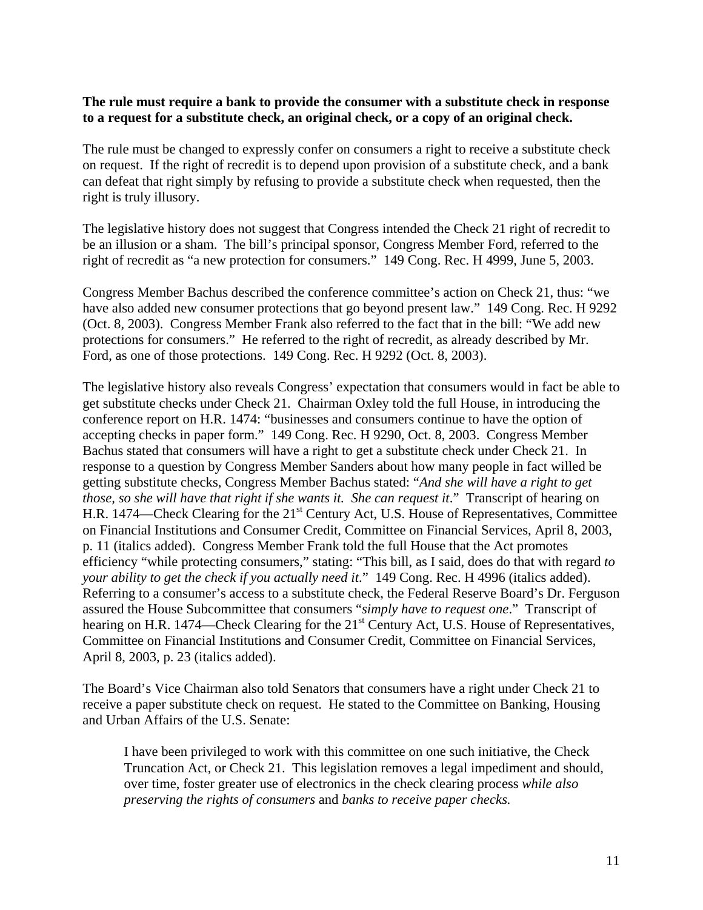### **The rule must require a bank to provide the consumer with a substitute check in response to a request for a substitute check, an original check, or a copy of an original check.**

The rule must be changed to expressly confer on consumers a right to receive a substitute check on request. If the right of recredit is to depend upon provision of a substitute check, and a bank can defeat that right simply by refusing to provide a substitute check when requested, then the right is truly illusory.

The legislative history does not suggest that Congress intended the Check 21 right of recredit to be an illusion or a sham. The bill's principal sponsor, Congress Member Ford, referred to the right of recredit as "a new protection for consumers." 149 Cong. Rec. H 4999, June 5, 2003.

Congress Member Bachus described the conference committee's action on Check 21, thus: "we have also added new consumer protections that go beyond present law." 149 Cong. Rec. H 9292 (Oct. 8, 2003). Congress Member Frank also referred to the fact that in the bill: "We add new protections for consumers." He referred to the right of recredit, as already described by Mr. Ford, as one of those protections. 149 Cong. Rec. H 9292 (Oct. 8, 2003).

The legislative history also reveals Congress' expectation that consumers would in fact be able to get substitute checks under Check 21. Chairman Oxley told the full House, in introducing the conference report on H.R. 1474: "businesses and consumers continue to have the option of accepting checks in paper form." 149 Cong. Rec. H 9290, Oct. 8, 2003. Congress Member Bachus stated that consumers will have a right to get a substitute check under Check 21. In response to a question by Congress Member Sanders about how many people in fact willed be getting substitute checks, Congress Member Bachus stated: "*And she will have a right to get those, so she will have that right if she wants it. She can request it*." Transcript of hearing on H.R. 1474—Check Clearing for the 21<sup>st</sup> Century Act, U.S. House of Representatives, Committee on Financial Institutions and Consumer Credit, Committee on Financial Services, April 8, 2003, p. 11 (italics added). Congress Member Frank told the full House that the Act promotes efficiency "while protecting consumers," stating: "This bill, as I said, does do that with regard *to your ability to get the check if you actually need it*." 149 Cong. Rec. H 4996 (italics added). Referring to a consumer's access to a substitute check, the Federal Reserve Board's Dr. Ferguson assured the House Subcommittee that consumers "*simply have to request one*." Transcript of hearing on H.R. 1474—Check Clearing for the 21<sup>st</sup> Century Act, U.S. House of Representatives, Committee on Financial Institutions and Consumer Credit, Committee on Financial Services, April 8, 2003, p. 23 (italics added).

The Board's Vice Chairman also told Senators that consumers have a right under Check 21 to receive a paper substitute check on request. He stated to the Committee on Banking, Housing and Urban Affairs of the U.S. Senate:

I have been privileged to work with this committee on one such initiative, the Check Truncation Act, or Check 21. This legislation removes a legal impediment and should, over time, foster greater use of electronics in the check clearing process *while also preserving the rights of consumers* and *banks to receive paper checks.*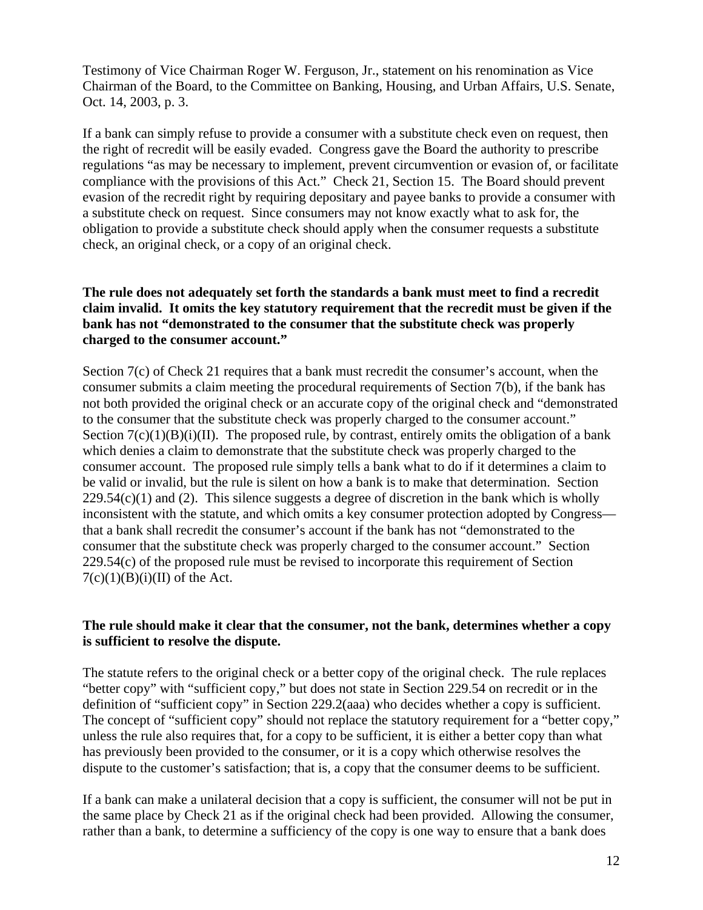Testimony of Vice Chairman Roger W. Ferguson, Jr., statement on his renomination as Vice Chairman of the Board, to the Committee on Banking, Housing, and Urban Affairs, U.S. Senate, Oct. 14, 2003, p. 3.

If a bank can simply refuse to provide a consumer with a substitute check even on request, then the right of recredit will be easily evaded. Congress gave the Board the authority to prescribe regulations "as may be necessary to implement, prevent circumvention or evasion of, or facilitate compliance with the provisions of this Act." Check 21, Section 15. The Board should prevent evasion of the recredit right by requiring depositary and payee banks to provide a consumer with a substitute check on request. Since consumers may not know exactly what to ask for, the obligation to provide a substitute check should apply when the consumer requests a substitute check, an original check, or a copy of an original check.

# **The rule does not adequately set forth the standards a bank must meet to find a recredit claim invalid. It omits the key statutory requirement that the recredit must be given if the bank has not "demonstrated to the consumer that the substitute check was properly charged to the consumer account."**

Section 7(c) of Check 21 requires that a bank must recredit the consumer's account, when the consumer submits a claim meeting the procedural requirements of Section 7(b), if the bank has not both provided the original check or an accurate copy of the original check and "demonstrated to the consumer that the substitute check was properly charged to the consumer account." Section  $7(c)(1)(B)(i)(II)$ . The proposed rule, by contrast, entirely omits the obligation of a bank which denies a claim to demonstrate that the substitute check was properly charged to the consumer account. The proposed rule simply tells a bank what to do if it determines a claim to be valid or invalid, but the rule is silent on how a bank is to make that determination. Section  $229.54(c)(1)$  and (2). This silence suggests a degree of discretion in the bank which is wholly inconsistent with the statute, and which omits a key consumer protection adopted by Congress that a bank shall recredit the consumer's account if the bank has not "demonstrated to the consumer that the substitute check was properly charged to the consumer account." Section 229.54(c) of the proposed rule must be revised to incorporate this requirement of Section  $7(c)(1)(B)(i)(II)$  of the Act.

# **The rule should make it clear that the consumer, not the bank, determines whether a copy is sufficient to resolve the dispute.**

The statute refers to the original check or a better copy of the original check. The rule replaces "better copy" with "sufficient copy," but does not state in Section 229.54 on recredit or in the definition of "sufficient copy" in Section 229.2(aaa) who decides whether a copy is sufficient. The concept of "sufficient copy" should not replace the statutory requirement for a "better copy," unless the rule also requires that, for a copy to be sufficient, it is either a better copy than what has previously been provided to the consumer, or it is a copy which otherwise resolves the dispute to the customer's satisfaction; that is, a copy that the consumer deems to be sufficient.

If a bank can make a unilateral decision that a copy is sufficient, the consumer will not be put in the same place by Check 21 as if the original check had been provided. Allowing the consumer, rather than a bank, to determine a sufficiency of the copy is one way to ensure that a bank does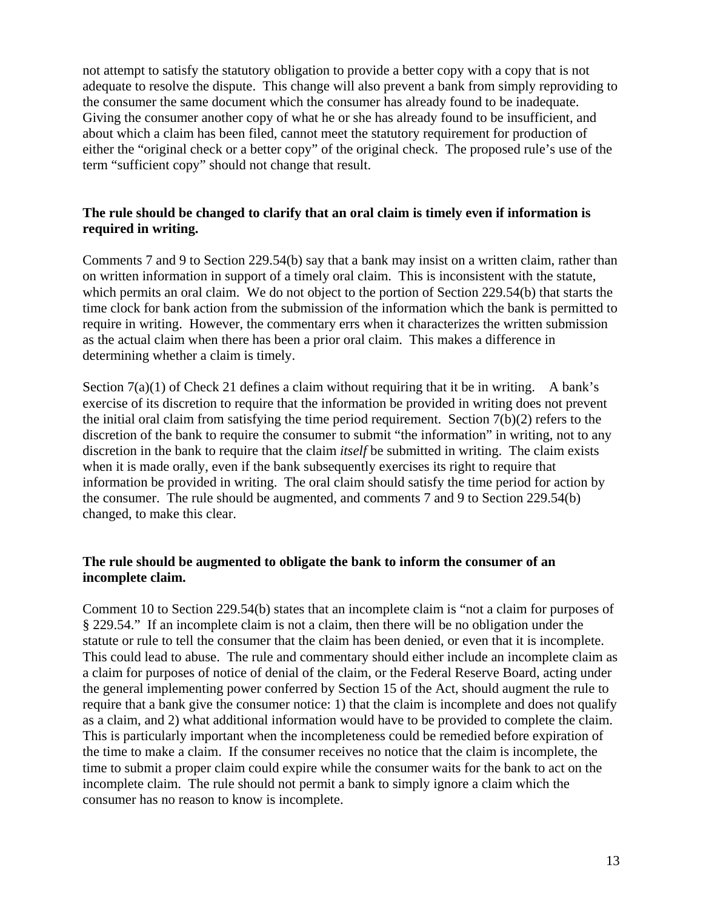not attempt to satisfy the statutory obligation to provide a better copy with a copy that is not adequate to resolve the dispute. This change will also prevent a bank from simply reproviding to the consumer the same document which the consumer has already found to be inadequate. Giving the consumer another copy of what he or she has already found to be insufficient, and about which a claim has been filed, cannot meet the statutory requirement for production of either the "original check or a better copy" of the original check. The proposed rule's use of the term "sufficient copy" should not change that result.

# **The rule should be changed to clarify that an oral claim is timely even if information is required in writing.**

Comments 7 and 9 to Section 229.54(b) say that a bank may insist on a written claim, rather than on written information in support of a timely oral claim. This is inconsistent with the statute, which permits an oral claim. We do not object to the portion of Section 229.54(b) that starts the time clock for bank action from the submission of the information which the bank is permitted to require in writing. However, the commentary errs when it characterizes the written submission as the actual claim when there has been a prior oral claim. This makes a difference in determining whether a claim is timely.

Section  $7(a)(1)$  of Check 21 defines a claim without requiring that it be in writing. A bank's exercise of its discretion to require that the information be provided in writing does not prevent the initial oral claim from satisfying the time period requirement. Section 7(b)(2) refers to the discretion of the bank to require the consumer to submit "the information" in writing, not to any discretion in the bank to require that the claim *itself* be submitted in writing. The claim exists when it is made orally, even if the bank subsequently exercises its right to require that information be provided in writing. The oral claim should satisfy the time period for action by the consumer. The rule should be augmented, and comments 7 and 9 to Section 229.54(b) changed, to make this clear.

# **The rule should be augmented to obligate the bank to inform the consumer of an incomplete claim.**

Comment 10 to Section 229.54(b) states that an incomplete claim is "not a claim for purposes of § 229.54." If an incomplete claim is not a claim, then there will be no obligation under the statute or rule to tell the consumer that the claim has been denied, or even that it is incomplete. This could lead to abuse. The rule and commentary should either include an incomplete claim as a claim for purposes of notice of denial of the claim, or the Federal Reserve Board, acting under the general implementing power conferred by Section 15 of the Act, should augment the rule to require that a bank give the consumer notice: 1) that the claim is incomplete and does not qualify as a claim, and 2) what additional information would have to be provided to complete the claim. This is particularly important when the incompleteness could be remedied before expiration of the time to make a claim. If the consumer receives no notice that the claim is incomplete, the time to submit a proper claim could expire while the consumer waits for the bank to act on the incomplete claim. The rule should not permit a bank to simply ignore a claim which the consumer has no reason to know is incomplete.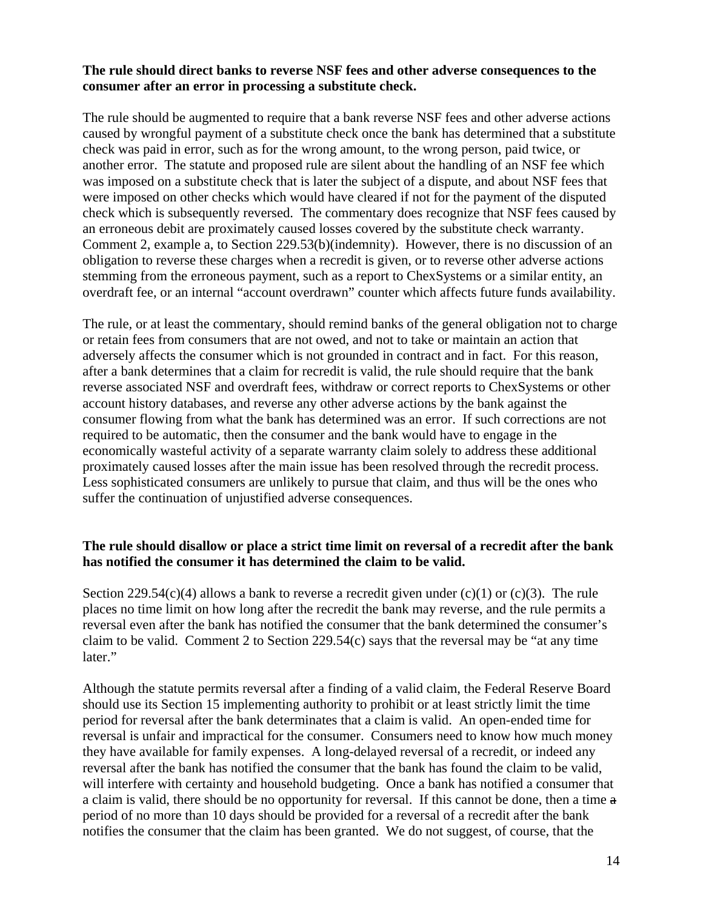# **The rule should direct banks to reverse NSF fees and other adverse consequences to the consumer after an error in processing a substitute check.**

The rule should be augmented to require that a bank reverse NSF fees and other adverse actions caused by wrongful payment of a substitute check once the bank has determined that a substitute check was paid in error, such as for the wrong amount, to the wrong person, paid twice, or another error. The statute and proposed rule are silent about the handling of an NSF fee which was imposed on a substitute check that is later the subject of a dispute, and about NSF fees that were imposed on other checks which would have cleared if not for the payment of the disputed check which is subsequently reversed. The commentary does recognize that NSF fees caused by an erroneous debit are proximately caused losses covered by the substitute check warranty. Comment 2, example a, to Section 229.53(b)(indemnity). However, there is no discussion of an obligation to reverse these charges when a recredit is given, or to reverse other adverse actions stemming from the erroneous payment, such as a report to ChexSystems or a similar entity, an overdraft fee, or an internal "account overdrawn" counter which affects future funds availability.

The rule, or at least the commentary, should remind banks of the general obligation not to charge or retain fees from consumers that are not owed, and not to take or maintain an action that adversely affects the consumer which is not grounded in contract and in fact. For this reason, after a bank determines that a claim for recredit is valid, the rule should require that the bank reverse associated NSF and overdraft fees, withdraw or correct reports to ChexSystems or other account history databases, and reverse any other adverse actions by the bank against the consumer flowing from what the bank has determined was an error. If such corrections are not required to be automatic, then the consumer and the bank would have to engage in the economically wasteful activity of a separate warranty claim solely to address these additional proximately caused losses after the main issue has been resolved through the recredit process. Less sophisticated consumers are unlikely to pursue that claim, and thus will be the ones who suffer the continuation of unjustified adverse consequences.

# **The rule should disallow or place a strict time limit on reversal of a recredit after the bank has notified the consumer it has determined the claim to be valid.**

Section 229.54(c)(4) allows a bank to reverse a recredit given under (c)(1) or (c)(3). The rule places no time limit on how long after the recredit the bank may reverse, and the rule permits a reversal even after the bank has notified the consumer that the bank determined the consumer's claim to be valid. Comment 2 to Section 229.54(c) says that the reversal may be "at any time later."

Although the statute permits reversal after a finding of a valid claim, the Federal Reserve Board should use its Section 15 implementing authority to prohibit or at least strictly limit the time period for reversal after the bank determinates that a claim is valid. An open-ended time for reversal is unfair and impractical for the consumer. Consumers need to know how much money they have available for family expenses. A long-delayed reversal of a recredit, or indeed any reversal after the bank has notified the consumer that the bank has found the claim to be valid, will interfere with certainty and household budgeting. Once a bank has notified a consumer that a claim is valid, there should be no opportunity for reversal. If this cannot be done, then a time a period of no more than 10 days should be provided for a reversal of a recredit after the bank notifies the consumer that the claim has been granted. We do not suggest, of course, that the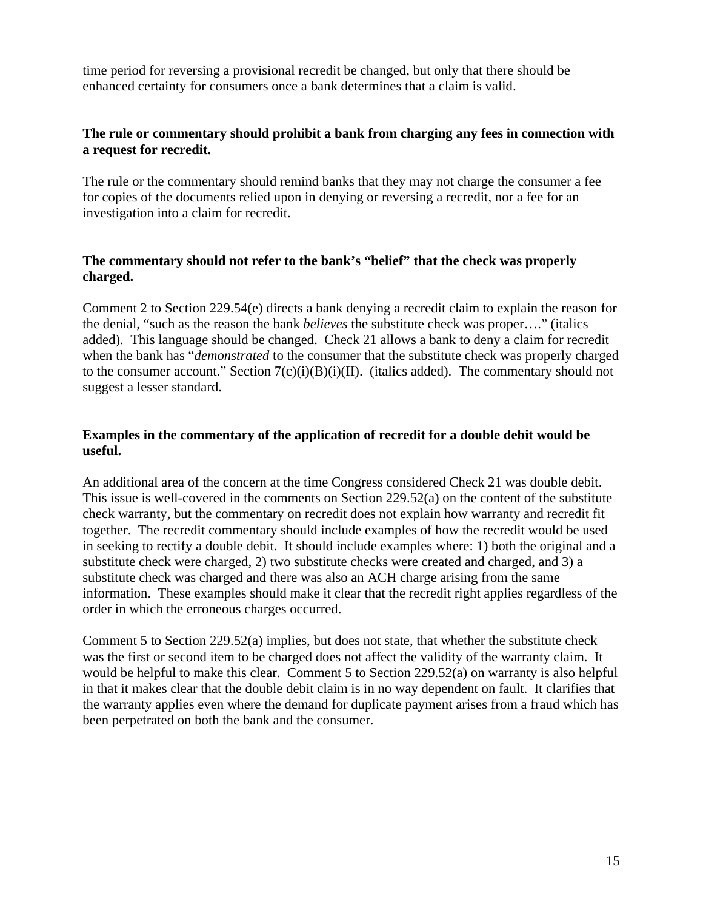time period for reversing a provisional recredit be changed, but only that there should be enhanced certainty for consumers once a bank determines that a claim is valid.

# **The rule or commentary should prohibit a bank from charging any fees in connection with a request for recredit.**

The rule or the commentary should remind banks that they may not charge the consumer a fee for copies of the documents relied upon in denying or reversing a recredit, nor a fee for an investigation into a claim for recredit.

# **The commentary should not refer to the bank's "belief" that the check was properly charged.**

Comment 2 to Section 229.54(e) directs a bank denying a recredit claim to explain the reason for the denial, "such as the reason the bank *believes* the substitute check was proper…." (italics added). This language should be changed. Check 21 allows a bank to deny a claim for recredit when the bank has "*demonstrated* to the consumer that the substitute check was properly charged to the consumer account." Section  $7(c)(i)(B)(i)(II)$ . (italics added). The commentary should not suggest a lesser standard.

# **Examples in the commentary of the application of recredit for a double debit would be useful.**

An additional area of the concern at the time Congress considered Check 21 was double debit. This issue is well-covered in the comments on Section 229.52(a) on the content of the substitute check warranty, but the commentary on recredit does not explain how warranty and recredit fit together. The recredit commentary should include examples of how the recredit would be used in seeking to rectify a double debit. It should include examples where: 1) both the original and a substitute check were charged, 2) two substitute checks were created and charged, and 3) a substitute check was charged and there was also an ACH charge arising from the same information. These examples should make it clear that the recredit right applies regardless of the order in which the erroneous charges occurred.

Comment 5 to Section 229.52(a) implies, but does not state, that whether the substitute check was the first or second item to be charged does not affect the validity of the warranty claim. It would be helpful to make this clear. Comment 5 to Section 229.52(a) on warranty is also helpful in that it makes clear that the double debit claim is in no way dependent on fault. It clarifies that the warranty applies even where the demand for duplicate payment arises from a fraud which has been perpetrated on both the bank and the consumer.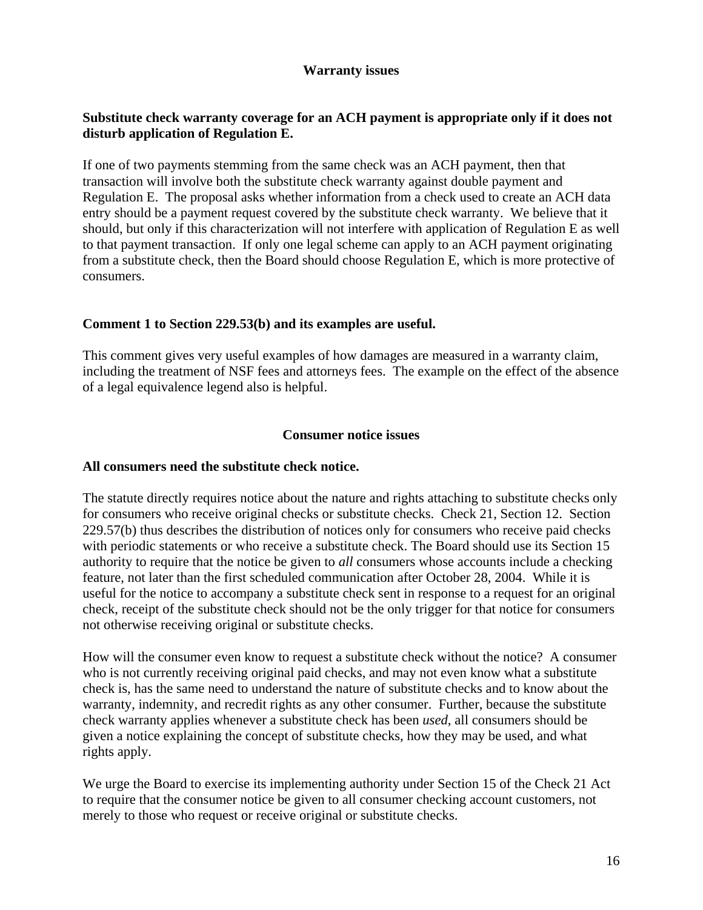# **Warranty issues**

# **Substitute check warranty coverage for an ACH payment is appropriate only if it does not disturb application of Regulation E.**

If one of two payments stemming from the same check was an ACH payment, then that transaction will involve both the substitute check warranty against double payment and Regulation E. The proposal asks whether information from a check used to create an ACH data entry should be a payment request covered by the substitute check warranty. We believe that it should, but only if this characterization will not interfere with application of Regulation E as well to that payment transaction. If only one legal scheme can apply to an ACH payment originating from a substitute check, then the Board should choose Regulation E, which is more protective of consumers.

# **Comment 1 to Section 229.53(b) and its examples are useful.**

This comment gives very useful examples of how damages are measured in a warranty claim, including the treatment of NSF fees and attorneys fees. The example on the effect of the absence of a legal equivalence legend also is helpful.

### **Consumer notice issues**

### **All consumers need the substitute check notice.**

The statute directly requires notice about the nature and rights attaching to substitute checks only for consumers who receive original checks or substitute checks. Check 21, Section 12. Section 229.57(b) thus describes the distribution of notices only for consumers who receive paid checks with periodic statements or who receive a substitute check. The Board should use its Section 15 authority to require that the notice be given to *all* consumers whose accounts include a checking feature, not later than the first scheduled communication after October 28, 2004. While it is useful for the notice to accompany a substitute check sent in response to a request for an original check, receipt of the substitute check should not be the only trigger for that notice for consumers not otherwise receiving original or substitute checks.

How will the consumer even know to request a substitute check without the notice? A consumer who is not currently receiving original paid checks, and may not even know what a substitute check is, has the same need to understand the nature of substitute checks and to know about the warranty, indemnity, and recredit rights as any other consumer. Further, because the substitute check warranty applies whenever a substitute check has been *used*, all consumers should be given a notice explaining the concept of substitute checks, how they may be used, and what rights apply.

We urge the Board to exercise its implementing authority under Section 15 of the Check 21 Act to require that the consumer notice be given to all consumer checking account customers, not merely to those who request or receive original or substitute checks.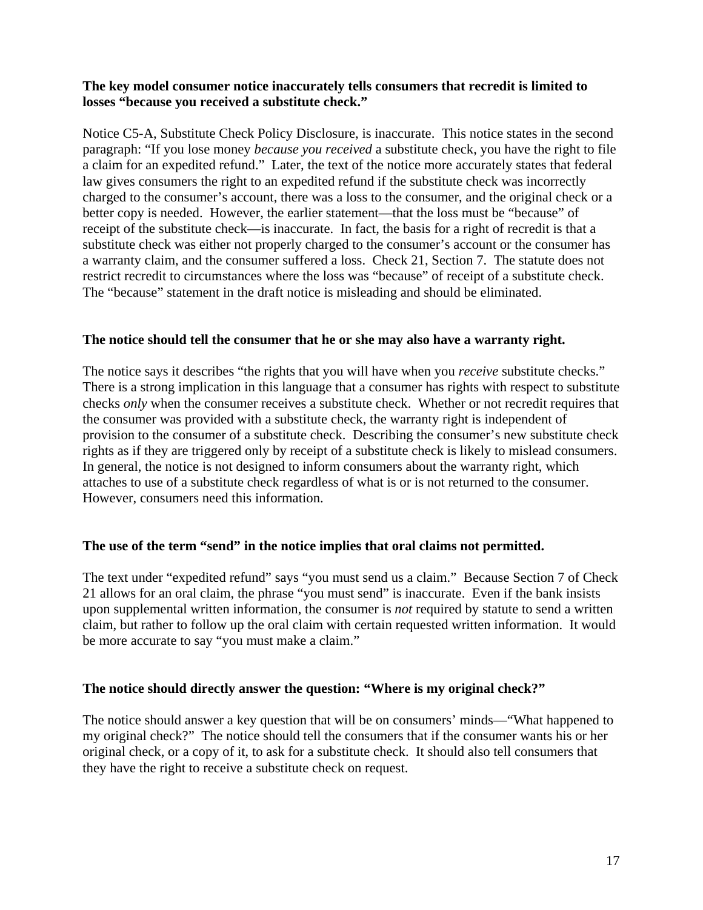# **The key model consumer notice inaccurately tells consumers that recredit is limited to losses "because you received a substitute check."**

Notice C5-A, Substitute Check Policy Disclosure, is inaccurate. This notice states in the second paragraph: "If you lose money *because you received* a substitute check, you have the right to file a claim for an expedited refund." Later, the text of the notice more accurately states that federal law gives consumers the right to an expedited refund if the substitute check was incorrectly charged to the consumer's account, there was a loss to the consumer, and the original check or a better copy is needed. However, the earlier statement—that the loss must be "because" of receipt of the substitute check—is inaccurate. In fact, the basis for a right of recredit is that a substitute check was either not properly charged to the consumer's account or the consumer has a warranty claim, and the consumer suffered a loss. Check 21, Section 7. The statute does not restrict recredit to circumstances where the loss was "because" of receipt of a substitute check. The "because" statement in the draft notice is misleading and should be eliminated.

### **The notice should tell the consumer that he or she may also have a warranty right.**

The notice says it describes "the rights that you will have when you *receive* substitute checks." There is a strong implication in this language that a consumer has rights with respect to substitute checks *only* when the consumer receives a substitute check. Whether or not recredit requires that the consumer was provided with a substitute check, the warranty right is independent of provision to the consumer of a substitute check. Describing the consumer's new substitute check rights as if they are triggered only by receipt of a substitute check is likely to mislead consumers. In general, the notice is not designed to inform consumers about the warranty right, which attaches to use of a substitute check regardless of what is or is not returned to the consumer. However, consumers need this information.

### **The use of the term "send" in the notice implies that oral claims not permitted.**

The text under "expedited refund" says "you must send us a claim." Because Section 7 of Check 21 allows for an oral claim, the phrase "you must send" is inaccurate. Even if the bank insists upon supplemental written information, the consumer is *not* required by statute to send a written claim, but rather to follow up the oral claim with certain requested written information. It would be more accurate to say "you must make a claim."

### **The notice should directly answer the question: "Where is my original check?"**

The notice should answer a key question that will be on consumers' minds—"What happened to my original check?" The notice should tell the consumers that if the consumer wants his or her original check, or a copy of it, to ask for a substitute check. It should also tell consumers that they have the right to receive a substitute check on request.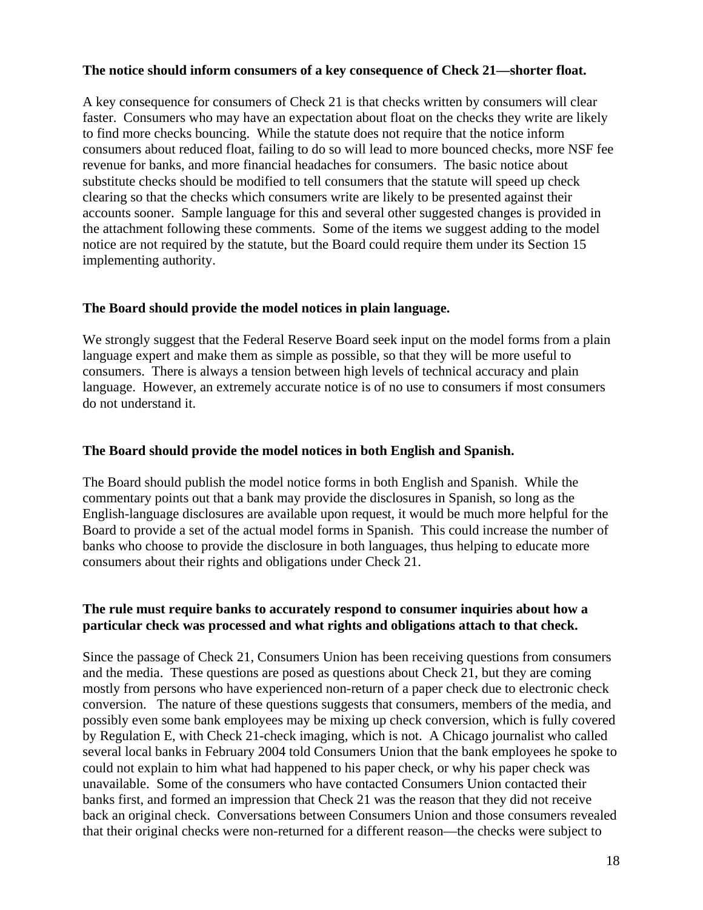# **The notice should inform consumers of a key consequence of Check 21—shorter float.**

A key consequence for consumers of Check 21 is that checks written by consumers will clear faster. Consumers who may have an expectation about float on the checks they write are likely to find more checks bouncing. While the statute does not require that the notice inform consumers about reduced float, failing to do so will lead to more bounced checks, more NSF fee revenue for banks, and more financial headaches for consumers. The basic notice about substitute checks should be modified to tell consumers that the statute will speed up check clearing so that the checks which consumers write are likely to be presented against their accounts sooner. Sample language for this and several other suggested changes is provided in the attachment following these comments. Some of the items we suggest adding to the model notice are not required by the statute, but the Board could require them under its Section 15 implementing authority.

# **The Board should provide the model notices in plain language.**

We strongly suggest that the Federal Reserve Board seek input on the model forms from a plain language expert and make them as simple as possible, so that they will be more useful to consumers. There is always a tension between high levels of technical accuracy and plain language. However, an extremely accurate notice is of no use to consumers if most consumers do not understand it.

### **The Board should provide the model notices in both English and Spanish.**

The Board should publish the model notice forms in both English and Spanish. While the commentary points out that a bank may provide the disclosures in Spanish, so long as the English-language disclosures are available upon request, it would be much more helpful for the Board to provide a set of the actual model forms in Spanish. This could increase the number of banks who choose to provide the disclosure in both languages, thus helping to educate more consumers about their rights and obligations under Check 21.

# **The rule must require banks to accurately respond to consumer inquiries about how a particular check was processed and what rights and obligations attach to that check.**

Since the passage of Check 21, Consumers Union has been receiving questions from consumers and the media. These questions are posed as questions about Check 21, but they are coming mostly from persons who have experienced non-return of a paper check due to electronic check conversion. The nature of these questions suggests that consumers, members of the media, and possibly even some bank employees may be mixing up check conversion, which is fully covered by Regulation E, with Check 21-check imaging, which is not. A Chicago journalist who called several local banks in February 2004 told Consumers Union that the bank employees he spoke to could not explain to him what had happened to his paper check, or why his paper check was unavailable. Some of the consumers who have contacted Consumers Union contacted their banks first, and formed an impression that Check 21 was the reason that they did not receive back an original check. Conversations between Consumers Union and those consumers revealed that their original checks were non-returned for a different reason—the checks were subject to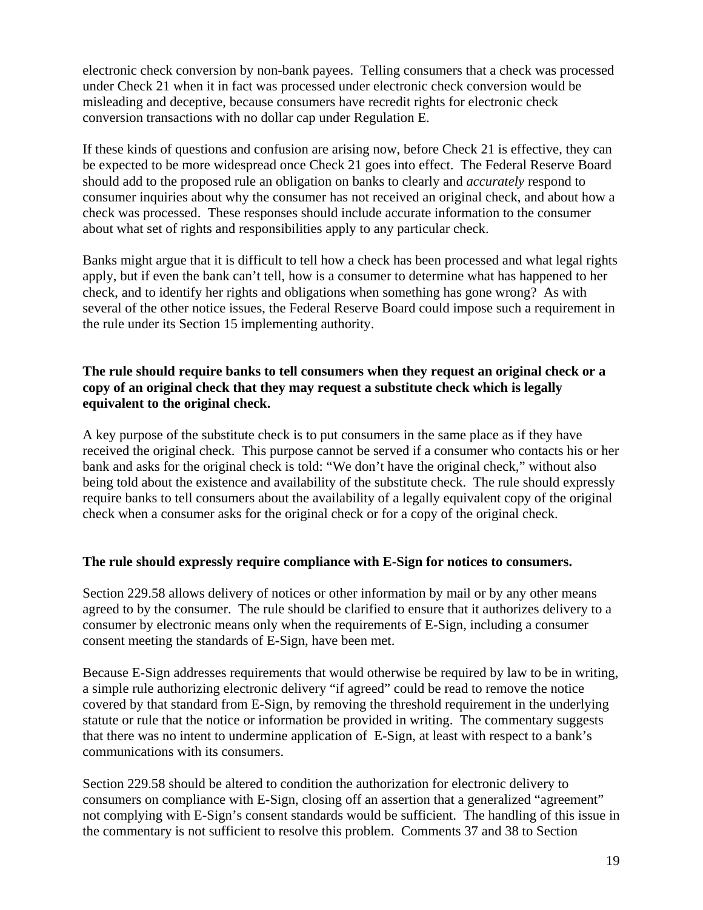electronic check conversion by non-bank payees. Telling consumers that a check was processed under Check 21 when it in fact was processed under electronic check conversion would be misleading and deceptive, because consumers have recredit rights for electronic check conversion transactions with no dollar cap under Regulation E.

If these kinds of questions and confusion are arising now, before Check 21 is effective, they can be expected to be more widespread once Check 21 goes into effect. The Federal Reserve Board should add to the proposed rule an obligation on banks to clearly and *accurately* respond to consumer inquiries about why the consumer has not received an original check, and about how a check was processed. These responses should include accurate information to the consumer about what set of rights and responsibilities apply to any particular check.

Banks might argue that it is difficult to tell how a check has been processed and what legal rights apply, but if even the bank can't tell, how is a consumer to determine what has happened to her check, and to identify her rights and obligations when something has gone wrong? As with several of the other notice issues, the Federal Reserve Board could impose such a requirement in the rule under its Section 15 implementing authority.

# **The rule should require banks to tell consumers when they request an original check or a copy of an original check that they may request a substitute check which is legally equivalent to the original check.**

A key purpose of the substitute check is to put consumers in the same place as if they have received the original check. This purpose cannot be served if a consumer who contacts his or her bank and asks for the original check is told: "We don't have the original check," without also being told about the existence and availability of the substitute check. The rule should expressly require banks to tell consumers about the availability of a legally equivalent copy of the original check when a consumer asks for the original check or for a copy of the original check.

# **The rule should expressly require compliance with E-Sign for notices to consumers.**

Section 229.58 allows delivery of notices or other information by mail or by any other means agreed to by the consumer. The rule should be clarified to ensure that it authorizes delivery to a consumer by electronic means only when the requirements of E-Sign, including a consumer consent meeting the standards of E-Sign, have been met.

Because E-Sign addresses requirements that would otherwise be required by law to be in writing, a simple rule authorizing electronic delivery "if agreed" could be read to remove the notice covered by that standard from E-Sign, by removing the threshold requirement in the underlying statute or rule that the notice or information be provided in writing. The commentary suggests that there was no intent to undermine application of E-Sign, at least with respect to a bank's communications with its consumers.

Section 229.58 should be altered to condition the authorization for electronic delivery to consumers on compliance with E-Sign, closing off an assertion that a generalized "agreement" not complying with E-Sign's consent standards would be sufficient. The handling of this issue in the commentary is not sufficient to resolve this problem. Comments 37 and 38 to Section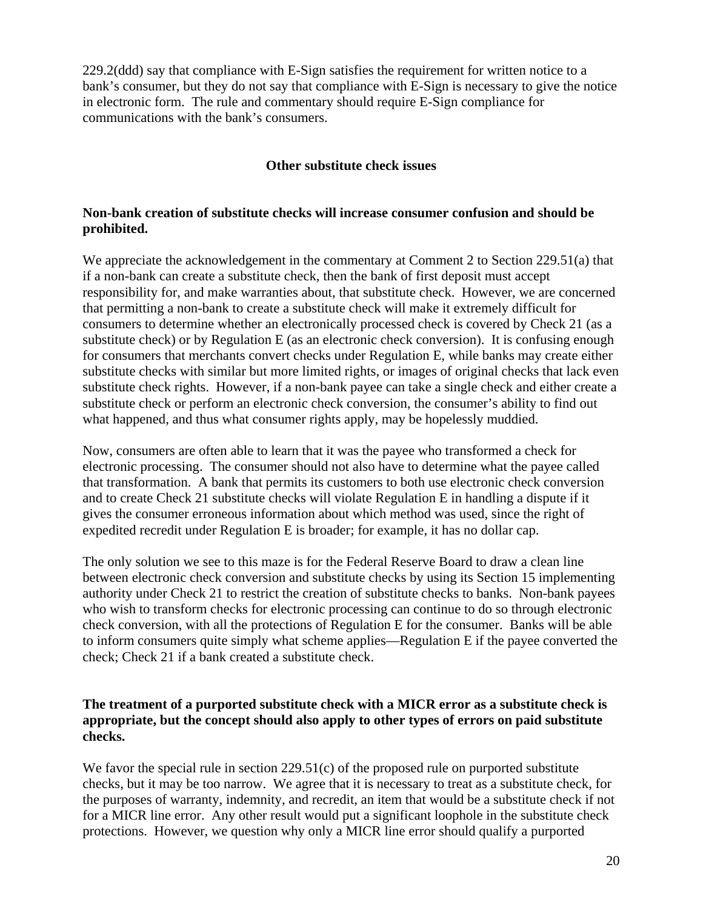229.2(ddd) say that compliance with E-Sign satisfies the requirement for written notice to a bank's consumer, but they do not say that compliance with E-Sign is necessary to give the notice in electronic form. The rule and commentary should require E-Sign compliance for communications with the bank's consumers.

### **Other substitute check issues**

# **Non-bank creation of substitute checks will increase consumer confusion and should be prohibited.**

We appreciate the acknowledgement in the commentary at Comment 2 to Section 229.51(a) that if a non-bank can create a substitute check, then the bank of first deposit must accept responsibility for, and make warranties about, that substitute check. However, we are concerned that permitting a non-bank to create a substitute check will make it extremely difficult for consumers to determine whether an electronically processed check is covered by Check 21 (as a substitute check) or by Regulation E (as an electronic check conversion). It is confusing enough for consumers that merchants convert checks under Regulation E, while banks may create either substitute checks with similar but more limited rights, or images of original checks that lack even substitute check rights. However, if a non-bank payee can take a single check and either create a substitute check or perform an electronic check conversion, the consumer's ability to find out what happened, and thus what consumer rights apply, may be hopelessly muddied.

Now, consumers are often able to learn that it was the payee who transformed a check for electronic processing. The consumer should not also have to determine what the payee called that transformation. A bank that permits its customers to both use electronic check conversion and to create Check 21 substitute checks will violate Regulation E in handling a dispute if it gives the consumer erroneous information about which method was used, since the right of expedited recredit under Regulation E is broader; for example, it has no dollar cap.

The only solution we see to this maze is for the Federal Reserve Board to draw a clean line between electronic check conversion and substitute checks by using its Section 15 implementing authority under Check 21 to restrict the creation of substitute checks to banks. Non-bank payees who wish to transform checks for electronic processing can continue to do so through electronic check conversion, with all the protections of Regulation E for the consumer. Banks will be able to inform consumers quite simply what scheme applies—Regulation E if the payee converted the check; Check 21 if a bank created a substitute check.

# **The treatment of a purported substitute check with a MICR error as a substitute check is appropriate, but the concept should also apply to other types of errors on paid substitute checks.**

We favor the special rule in section 229.51(c) of the proposed rule on purported substitute checks, but it may be too narrow. We agree that it is necessary to treat as a substitute check, for the purposes of warranty, indemnity, and recredit, an item that would be a substitute check if not for a MICR line error. Any other result would put a significant loophole in the substitute check protections. However, we question why only a MICR line error should qualify a purported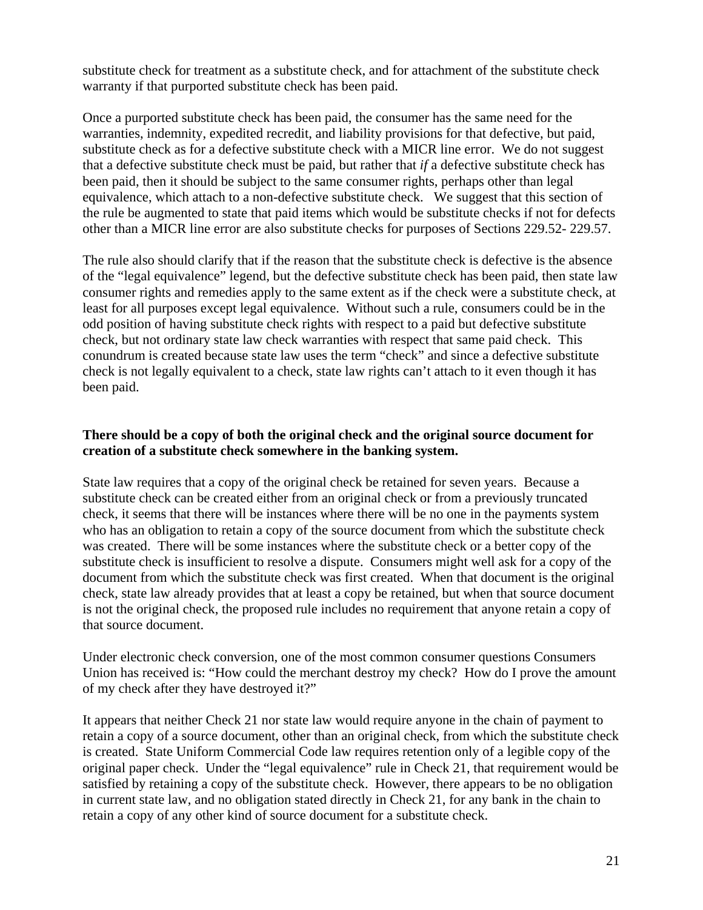substitute check for treatment as a substitute check, and for attachment of the substitute check warranty if that purported substitute check has been paid.

Once a purported substitute check has been paid, the consumer has the same need for the warranties, indemnity, expedited recredit, and liability provisions for that defective, but paid, substitute check as for a defective substitute check with a MICR line error. We do not suggest that a defective substitute check must be paid, but rather that *if* a defective substitute check has been paid, then it should be subject to the same consumer rights, perhaps other than legal equivalence, which attach to a non-defective substitute check. We suggest that this section of the rule be augmented to state that paid items which would be substitute checks if not for defects other than a MICR line error are also substitute checks for purposes of Sections 229.52- 229.57.

The rule also should clarify that if the reason that the substitute check is defective is the absence of the "legal equivalence" legend, but the defective substitute check has been paid, then state law consumer rights and remedies apply to the same extent as if the check were a substitute check, at least for all purposes except legal equivalence. Without such a rule, consumers could be in the odd position of having substitute check rights with respect to a paid but defective substitute check, but not ordinary state law check warranties with respect that same paid check. This conundrum is created because state law uses the term "check" and since a defective substitute check is not legally equivalent to a check, state law rights can't attach to it even though it has been paid.

# **There should be a copy of both the original check and the original source document for creation of a substitute check somewhere in the banking system.**

State law requires that a copy of the original check be retained for seven years. Because a substitute check can be created either from an original check or from a previously truncated check, it seems that there will be instances where there will be no one in the payments system who has an obligation to retain a copy of the source document from which the substitute check was created. There will be some instances where the substitute check or a better copy of the substitute check is insufficient to resolve a dispute. Consumers might well ask for a copy of the document from which the substitute check was first created. When that document is the original check, state law already provides that at least a copy be retained, but when that source document is not the original check, the proposed rule includes no requirement that anyone retain a copy of that source document.

Under electronic check conversion, one of the most common consumer questions Consumers Union has received is: "How could the merchant destroy my check? How do I prove the amount of my check after they have destroyed it?"

It appears that neither Check 21 nor state law would require anyone in the chain of payment to retain a copy of a source document, other than an original check, from which the substitute check is created. State Uniform Commercial Code law requires retention only of a legible copy of the original paper check. Under the "legal equivalence" rule in Check 21, that requirement would be satisfied by retaining a copy of the substitute check. However, there appears to be no obligation in current state law, and no obligation stated directly in Check 21, for any bank in the chain to retain a copy of any other kind of source document for a substitute check.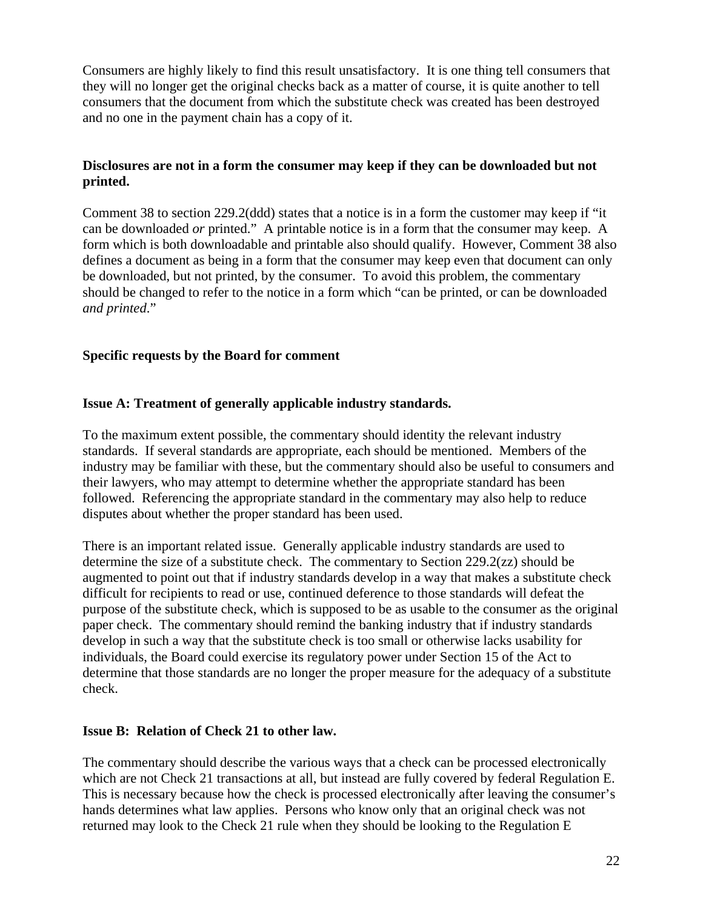Consumers are highly likely to find this result unsatisfactory. It is one thing tell consumers that they will no longer get the original checks back as a matter of course, it is quite another to tell consumers that the document from which the substitute check was created has been destroyed and no one in the payment chain has a copy of it.

# **Disclosures are not in a form the consumer may keep if they can be downloaded but not printed.**

Comment 38 to section 229.2(ddd) states that a notice is in a form the customer may keep if "it can be downloaded *or* printed." A printable notice is in a form that the consumer may keep. A form which is both downloadable and printable also should qualify. However, Comment 38 also defines a document as being in a form that the consumer may keep even that document can only be downloaded, but not printed, by the consumer. To avoid this problem, the commentary should be changed to refer to the notice in a form which "can be printed, or can be downloaded *and printed*."

# **Specific requests by the Board for comment**

# **Issue A: Treatment of generally applicable industry standards.**

To the maximum extent possible, the commentary should identity the relevant industry standards. If several standards are appropriate, each should be mentioned. Members of the industry may be familiar with these, but the commentary should also be useful to consumers and their lawyers, who may attempt to determine whether the appropriate standard has been followed. Referencing the appropriate standard in the commentary may also help to reduce disputes about whether the proper standard has been used.

There is an important related issue. Generally applicable industry standards are used to determine the size of a substitute check. The commentary to Section 229.2(zz) should be augmented to point out that if industry standards develop in a way that makes a substitute check difficult for recipients to read or use, continued deference to those standards will defeat the purpose of the substitute check, which is supposed to be as usable to the consumer as the original paper check. The commentary should remind the banking industry that if industry standards develop in such a way that the substitute check is too small or otherwise lacks usability for individuals, the Board could exercise its regulatory power under Section 15 of the Act to determine that those standards are no longer the proper measure for the adequacy of a substitute check.

### **Issue B: Relation of Check 21 to other law.**

The commentary should describe the various ways that a check can be processed electronically which are not Check 21 transactions at all, but instead are fully covered by federal Regulation E. This is necessary because how the check is processed electronically after leaving the consumer's hands determines what law applies. Persons who know only that an original check was not returned may look to the Check 21 rule when they should be looking to the Regulation E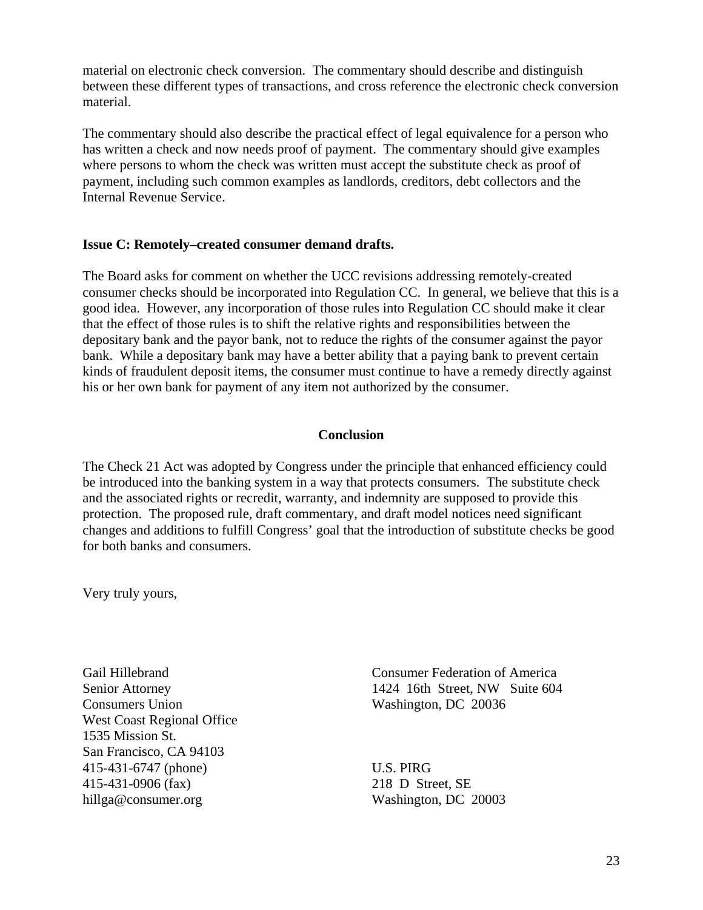material on electronic check conversion. The commentary should describe and distinguish between these different types of transactions, and cross reference the electronic check conversion material.

The commentary should also describe the practical effect of legal equivalence for a person who has written a check and now needs proof of payment. The commentary should give examples where persons to whom the check was written must accept the substitute check as proof of payment, including such common examples as landlords, creditors, debt collectors and the Internal Revenue Service.

#### **Issue C: Remotely–created consumer demand drafts.**

The Board asks for comment on whether the UCC revisions addressing remotely-created consumer checks should be incorporated into Regulation CC. In general, we believe that this is a good idea. However, any incorporation of those rules into Regulation CC should make it clear that the effect of those rules is to shift the relative rights and responsibilities between the depositary bank and the payor bank, not to reduce the rights of the consumer against the payor bank. While a depositary bank may have a better ability that a paying bank to prevent certain kinds of fraudulent deposit items, the consumer must continue to have a remedy directly against his or her own bank for payment of any item not authorized by the consumer.

#### **Conclusion**

The Check 21 Act was adopted by Congress under the principle that enhanced efficiency could be introduced into the banking system in a way that protects consumers. The substitute check and the associated rights or recredit, warranty, and indemnity are supposed to provide this protection. The proposed rule, draft commentary, and draft model notices need significant changes and additions to fulfill Congress' goal that the introduction of substitute checks be good for both banks and consumers.

Very truly yours,

Gail Hillebrand Senior Attorney Consumers Union West Coast Regional Office 1535 Mission St. San Francisco, CA 94103 415-431-6747 (phone) 415-431-0906 (fax) hillga@consumer.org

Consumer Federation of America 1424 16th Street, NW Suite 604 Washington, DC 20036

U.S. PIRG 218 D Street, SE Washington, DC 20003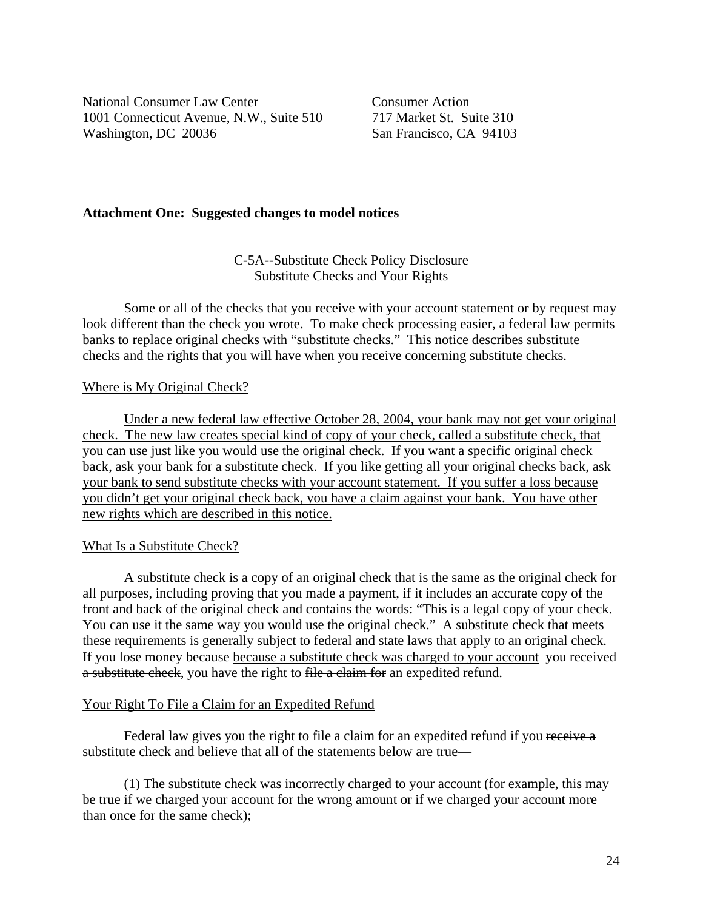National Consumer Law Center Consumer Action 1001 Connecticut Avenue, N.W., Suite 510 717 Market St. Suite 310 Washington, DC 20036 San Francisco, CA 94103

#### **Attachment One: Suggested changes to model notices**

#### C-5A--Substitute Check Policy Disclosure Substitute Checks and Your Rights

Some or all of the checks that you receive with your account statement or by request may look different than the check you wrote. To make check processing easier, a federal law permits banks to replace original checks with "substitute checks." This notice describes substitute checks and the rights that you will have when you receive concerning substitute checks.

#### Where is My Original Check?

Under a new federal law effective October 28, 2004, your bank may not get your original check. The new law creates special kind of copy of your check, called a substitute check, that you can use just like you would use the original check. If you want a specific original check back, ask your bank for a substitute check. If you like getting all your original checks back, ask your bank to send substitute checks with your account statement. If you suffer a loss because you didn't get your original check back, you have a claim against your bank. You have other new rights which are described in this notice.

#### What Is a Substitute Check?

A substitute check is a copy of an original check that is the same as the original check for all purposes, including proving that you made a payment, if it includes an accurate copy of the front and back of the original check and contains the words: "This is a legal copy of your check. You can use it the same way you would use the original check." A substitute check that meets these requirements is generally subject to federal and state laws that apply to an original check. If you lose money because because a substitute check was charged to your account you received a substitute check, you have the right to file a claim for an expedited refund.

### Your Right To File a Claim for an Expedited Refund

Federal law gives you the right to file a claim for an expedited refund if you receive a substitute check and believe that all of the statements below are true—

(1) The substitute check was incorrectly charged to your account (for example, this may be true if we charged your account for the wrong amount or if we charged your account more than once for the same check);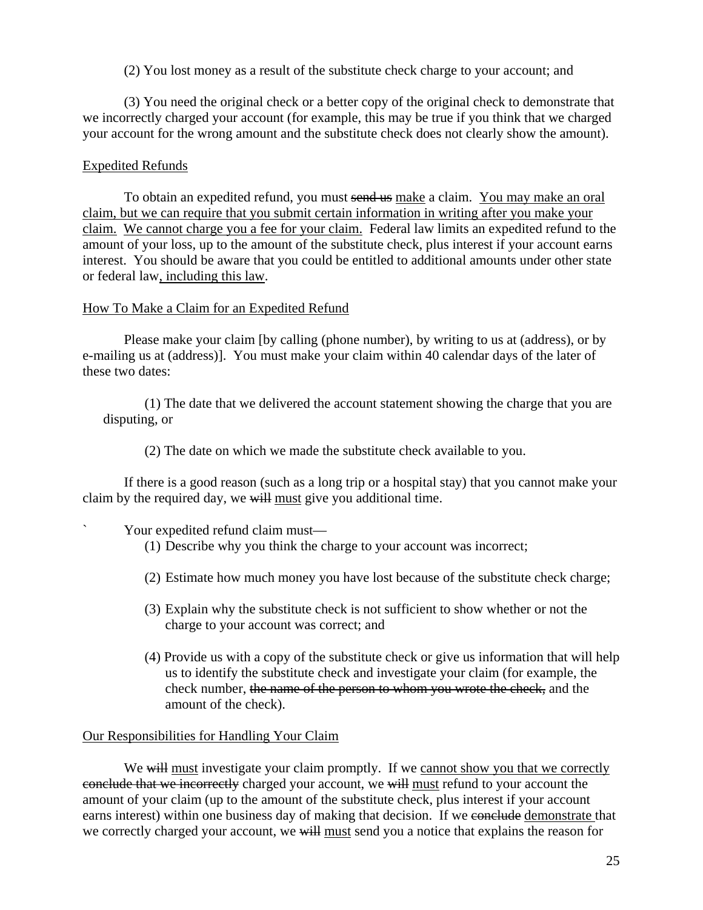(2) You lost money as a result of the substitute check charge to your account; and

(3) You need the original check or a better copy of the original check to demonstrate that we incorrectly charged your account (for example, this may be true if you think that we charged your account for the wrong amount and the substitute check does not clearly show the amount).

# Expedited Refunds

To obtain an expedited refund, you must send us make a claim. You may make an oral claim, but we can require that you submit certain information in writing after you make your claim. We cannot charge you a fee for your claim. Federal law limits an expedited refund to the amount of your loss, up to the amount of the substitute check, plus interest if your account earns interest. You should be aware that you could be entitled to additional amounts under other state or federal law, including this law.

### How To Make a Claim for an Expedited Refund

Please make your claim [by calling (phone number), by writing to us at (address), or by e-mailing us at (address)]. You must make your claim within 40 calendar days of the later of these two dates:

(1) The date that we delivered the account statement showing the charge that you are disputing, or

(2) The date on which we made the substitute check available to you.

If there is a good reason (such as a long trip or a hospital stay) that you cannot make your claim by the required day, we will must give you additional time.

# Your expedited refund claim must—

- (1) Describe why you think the charge to your account was incorrect;
- (2) Estimate how much money you have lost because of the substitute check charge;
- (3) Explain why the substitute check is not sufficient to show whether or not the charge to your account was correct; and
- (4) Provide us with a copy of the substitute check or give us information that will help us to identify the substitute check and investigate your claim (for example, the check number, the name of the person to whom you wrote the check, and the amount of the check).

### Our Responsibilities for Handling Your Claim

We will must investigate your claim promptly. If we cannot show you that we correctly conclude that we incorrectly charged your account, we will must refund to your account the amount of your claim (up to the amount of the substitute check, plus interest if your account earns interest) within one business day of making that decision. If we conclude demonstrate that we correctly charged your account, we will must send you a notice that explains the reason for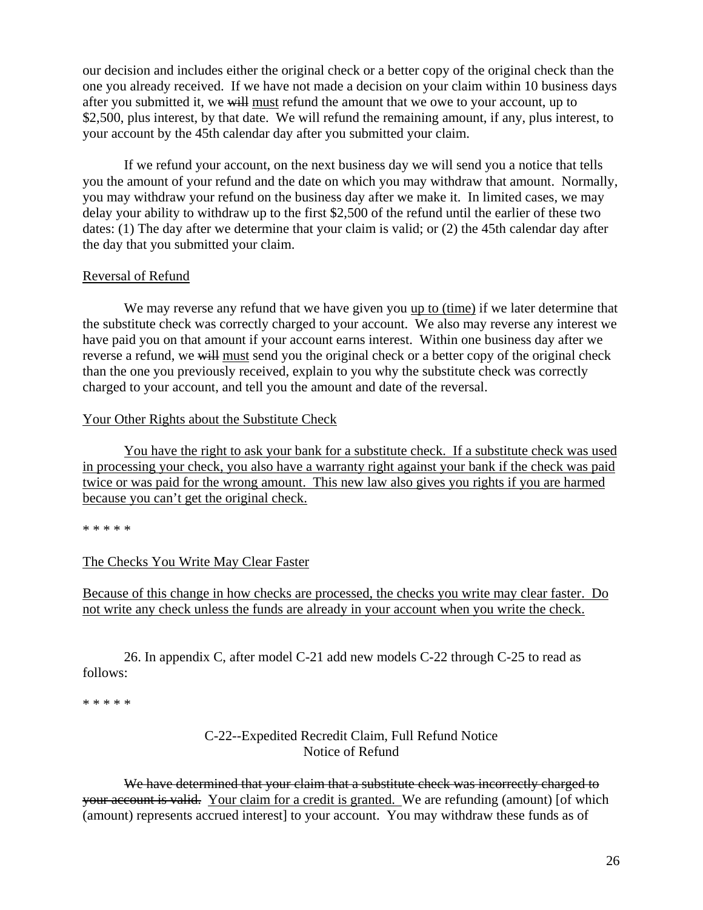our decision and includes either the original check or a better copy of the original check than the one you already received. If we have not made a decision on your claim within 10 business days after you submitted it, we will must refund the amount that we owe to your account, up to \$2,500, plus interest, by that date. We will refund the remaining amount, if any, plus interest, to your account by the 45th calendar day after you submitted your claim.

If we refund your account, on the next business day we will send you a notice that tells you the amount of your refund and the date on which you may withdraw that amount. Normally, you may withdraw your refund on the business day after we make it. In limited cases, we may delay your ability to withdraw up to the first \$2,500 of the refund until the earlier of these two dates: (1) The day after we determine that your claim is valid; or (2) the 45th calendar day after the day that you submitted your claim.

#### Reversal of Refund

We may reverse any refund that we have given you up to (time) if we later determine that the substitute check was correctly charged to your account. We also may reverse any interest we have paid you on that amount if your account earns interest. Within one business day after we reverse a refund, we will must send you the original check or a better copy of the original check than the one you previously received, explain to you why the substitute check was correctly charged to your account, and tell you the amount and date of the reversal.

#### Your Other Rights about the Substitute Check

You have the right to ask your bank for a substitute check. If a substitute check was used in processing your check, you also have a warranty right against your bank if the check was paid twice or was paid for the wrong amount. This new law also gives you rights if you are harmed because you can't get the original check.

\* \* \* \* \*

### The Checks You Write May Clear Faster

Because of this change in how checks are processed, the checks you write may clear faster. Do not write any check unless the funds are already in your account when you write the check.

26. In appendix C, after model C-21 add new models C-22 through C-25 to read as follows:

\* \* \* \* \*

# C-22--Expedited Recredit Claim, Full Refund Notice Notice of Refund

We have determined that your claim that a substitute check was incorrectly charged to your account is valid. Your claim for a credit is granted. We are refunding (amount) [of which (amount) represents accrued interest] to your account. You may withdraw these funds as of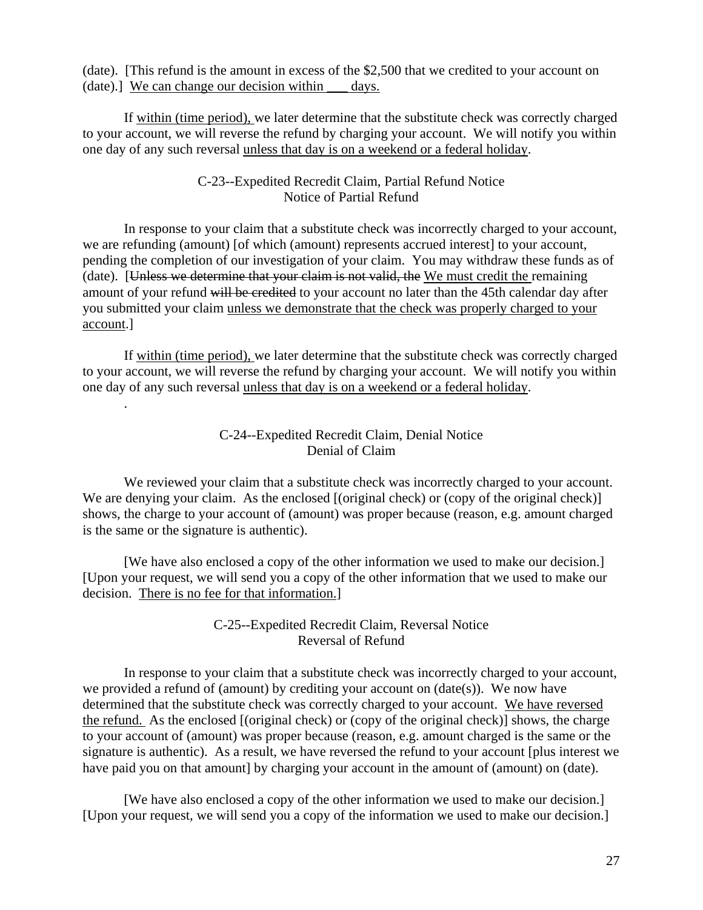(date). [This refund is the amount in excess of the \$2,500 that we credited to your account on (date).] We can change our decision within \_\_\_ days.

If within (time period), we later determine that the substitute check was correctly charged to your account, we will reverse the refund by charging your account. We will notify you within one day of any such reversal unless that day is on a weekend or a federal holiday.

### C-23--Expedited Recredit Claim, Partial Refund Notice Notice of Partial Refund

In response to your claim that a substitute check was incorrectly charged to your account, we are refunding (amount) [of which (amount) represents accrued interest] to your account, pending the completion of our investigation of your claim. You may withdraw these funds as of (date). [Unless we determine that your claim is not valid, the We must credit the remaining amount of your refund will be credited to your account no later than the 45th calendar day after you submitted your claim unless we demonstrate that the check was properly charged to your account.]

If within (time period), we later determine that the substitute check was correctly charged to your account, we will reverse the refund by charging your account. We will notify you within one day of any such reversal unless that day is on a weekend or a federal holiday.

.

# C-24--Expedited Recredit Claim, Denial Notice Denial of Claim

We reviewed your claim that a substitute check was incorrectly charged to your account. We are denying your claim. As the enclosed  $[$ (original check) or (copy of the original check) $]$ shows, the charge to your account of (amount) was proper because (reason, e.g. amount charged is the same or the signature is authentic).

[We have also enclosed a copy of the other information we used to make our decision.] [Upon your request, we will send you a copy of the other information that we used to make our decision. There is no fee for that information.]

# C-25--Expedited Recredit Claim, Reversal Notice Reversal of Refund

In response to your claim that a substitute check was incorrectly charged to your account, we provided a refund of (amount) by crediting your account on (date(s)). We now have determined that the substitute check was correctly charged to your account. We have reversed the refund. As the enclosed [(original check) or (copy of the original check)] shows, the charge to your account of (amount) was proper because (reason, e.g. amount charged is the same or the signature is authentic). As a result, we have reversed the refund to your account [plus interest we have paid you on that amount] by charging your account in the amount of (amount) on (date).

[We have also enclosed a copy of the other information we used to make our decision.] [Upon your request, we will send you a copy of the information we used to make our decision.]